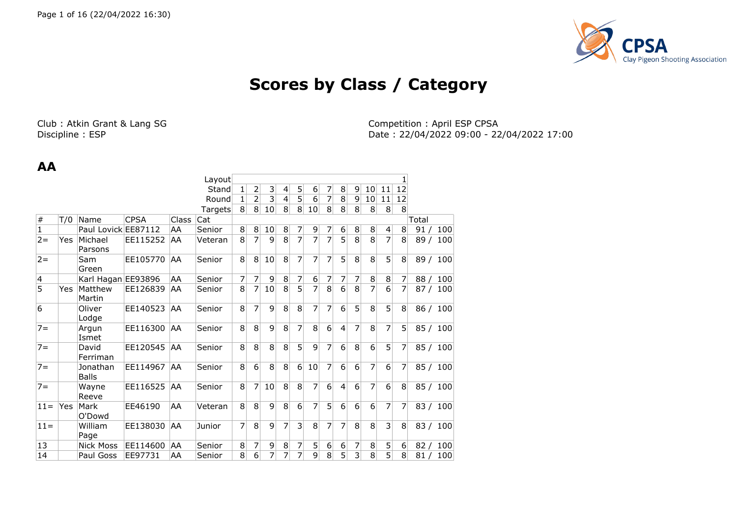

# **Scores by Class / Category**

Club : Atkin Grant & Lang SG Club : April ESP CPSA Competition : April ESP CPSA Competition : April ESP CPSA Discipline : ESP

Date: 22/04/2022 09:00 - 22/04/2022 17:00

#### **AA**

|                |     |                          |             |       | Layout  |                |                |    |                 |                |                |   |                |                |                |                  |                |       |     |
|----------------|-----|--------------------------|-------------|-------|---------|----------------|----------------|----|-----------------|----------------|----------------|---|----------------|----------------|----------------|------------------|----------------|-------|-----|
|                |     |                          |             |       | Stand   | 1              | 2              | 3  | $\vert 4 \vert$ | 5              | 6              | 7 | 8              | $\overline{9}$ | 10             | 11               | 12             |       |     |
|                |     |                          |             |       | Round   | 1              | $\overline{2}$ | 3  | 4               | 5              | 6              | 7 | 8              | 9              | 10             | 11               | 12             |       |     |
|                |     |                          |             |       | Targets | 8 <sup>1</sup> | 8 <sup>1</sup> | 10 | 8               | 8              | 10             | 8 | 8              | 8              | 8              | 8                | 8 <sup>°</sup> |       |     |
| #              | T/0 | Name                     | <b>CPSA</b> | Class | Cat     |                |                |    |                 |                |                |   |                |                |                |                  |                | Total |     |
| $\mathbf 1$    |     | Paul Lovick EE87112      |             | AA    | Senior  | 8              | 8              | 10 | $\bf 8$         | 7              | 9              | 7 | 6              | 8 <sup>1</sup> | 8              | $\left 4\right $ | 8              | 91/   | 100 |
| $2 =$          | Yes | Michael<br>Parsons       | EE115252    | AA    | Veteran | 8              | 7              | 9  | 8               | $\overline{7}$ | $\overline{7}$ | 7 | $\overline{5}$ | $\overline{8}$ | $\overline{8}$ | $\overline{7}$   | 8 <sup>1</sup> | 89/   | 100 |
| $2 =$          |     | Sam<br>Green             | EE105770    | AA    | Senior  | 8              | 8              | 10 | 8               | 7              | 7              | 7 | 5              | 8              | 8              | 5                | 8              | 89/   | 100 |
| 4              |     | Karl Hagan EE93896       |             | AA    | Senior  | 7              | 7              | 9  | 8               | 7              | 6              | 7 | 7              | 7              | 8              | 8                | 7              | 88/   | 100 |
| $\overline{5}$ | Yes | Matthew<br>Martin        | EE126839    | AA    | Senior  | 8              | 7              | 10 | 8               | $\overline{5}$ | $\overline{7}$ | 8 | 6              | 8              | 7              | 6                | $\overline{7}$ | 87/   | 100 |
| 6              |     | Oliver<br>Lodge          | EE140523    | AA    | Senior  | 8              | 7              | 9  | 8               | 8              | 7              | 7 | 6              | $\overline{5}$ | 8              | 5                | 8 <sup>1</sup> | 86/   | 100 |
| $7 =$          |     | Argun<br>Ismet           | EE116300    | AA    | Senior  | 8              | 8              | 9  | 8               | 7              | 8              | 6 | $\overline{4}$ | 7              | 8              | 7                | 5 <sup>1</sup> | 85/   | 100 |
| $7 =$          |     | David<br>Ferriman        | EE120545    | AA    | Senior  | 8              | 8              | 8  | 8               | 5              | 9              | 7 | 6              | 8              | 6              | 5                | 7              | 85/   | 100 |
| $7 =$          |     | Jonathan<br><b>Balls</b> | EE114967    | AA    | Senior  | 8              | 6              | 8  | 8               | 6              | 10             | 7 | 6              | 6              | 7              | 6                | 7              | 85/   | 100 |
| $7 =$          |     | Wayne<br>Reeve           | EE116525    | AA    | Senior  | 8              | 7              | 10 | 8               | 8              | 7              | 6 | $\overline{4}$ | 6              | 7              | 6                | 8              | 85/   | 100 |
| $11 =$         | Yes | Mark<br>O'Dowd           | EE46190     | AA    | Veteran | 8              | 8              | 9  | 8               | 6              | 7              | 5 | 6              | 6              | 6              | 7                | $\overline{7}$ | 83/   | 100 |
| $11 =$         |     | William<br>Page          | EE138030    | AA    | Junior  | 7              | 8              | 9  | 7               | 3              | 8              | 7 | 7              | 8              | 8              | 3                | 8              | 83/   | 100 |
| 13             |     | <b>Nick Moss</b>         | EE114600    | AA    | Senior  | 8              | 7              | 9  | 8               | 7              | 5              | 6 | 6              | 7              | 8              | 5                | 6              | 82/   | 100 |
| 14             |     | Paul Goss                | EE97731     | AA    | Senior  | 8              | 6              | 7  | 7               | 7              | 9              | 8 | 5              | 3              | 8              | 5                | 8 <sup>1</sup> | 81/   | 100 |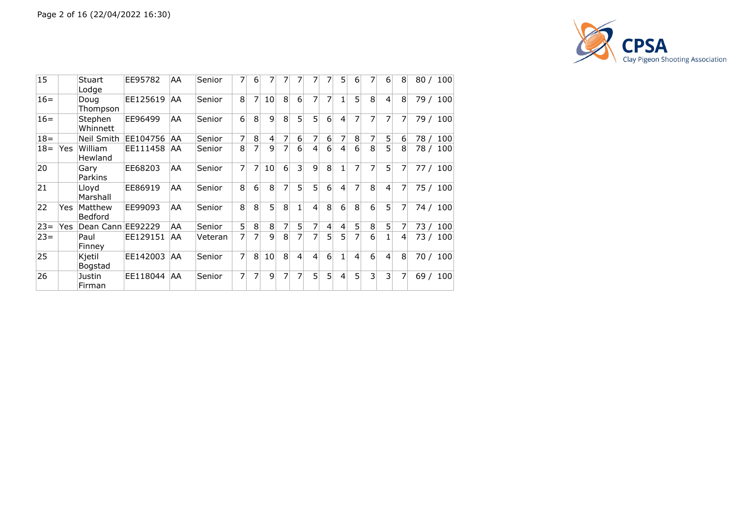

| 15     |     | Stuart<br>Lodge           | EE95782     | AA | Senior  | 7              | 6               | 7               | 7 | 7              | 7              |                | 5              | 6              | 7 | 6              | 8 | 80 / 100    |
|--------|-----|---------------------------|-------------|----|---------|----------------|-----------------|-----------------|---|----------------|----------------|----------------|----------------|----------------|---|----------------|---|-------------|
| $16=$  |     | Doug<br>Thompson          | EE125619    | AA | Senior  | 8 <sup>1</sup> | 7               | 10 <sup>1</sup> | 8 | 6              | 7              | $\overline{7}$ |                | 5              | 8 | $\vert$        | 8 | 79 / 100    |
| $16=$  |     | Stephen<br>Whinnett       | EE96499     | AA | Senior  | $6 \mid$       | 8               | 9               | 8 | 5              | 5              | 6              | 4              | 7              | 7 | 7              | 7 | 79 /<br>100 |
| $18 =$ |     | Neil Smith                | EE104756    | AA | Senior  | $\overline{7}$ | 8               | $\overline{4}$  | 7 | 6              | 7              | 6              |                | 8              | 7 | 5              | 6 | 78 /<br>100 |
| $18 =$ | Yes | William<br>Hewland        | EE111458    | AA | Senior  | 8 <sup>1</sup> | 7               | 9               | 7 | 6              | 4              | 6              | 4              | 6              | 8 | 5              | 8 | 78 /<br>100 |
| 20     |     | Gary<br>Parkins           | EE68203     | AA | Senior  | $\overline{7}$ | 7               | 10              | 6 | 3              | 9              | 8              |                | 7              | 7 | 5 <sup>1</sup> | 7 | 100<br>77 / |
| 21     |     | Lloyd<br>Marshall         | EE86919     | AA | Senior  | 8 <sup>1</sup> | $6\overline{6}$ | 8               | 7 | 5 <sub>1</sub> | 5              | 6              | $\overline{4}$ | 7              | 8 | $\overline{4}$ | 7 | 75 / 100    |
| 22     | Yes | Matthew<br><b>Bedford</b> | EE99093     | AA | Senior  | 8 <sup>1</sup> | 8               | 5 <sup>1</sup>  | 8 | 1              | 4              | 8              | $6 \vert$      | 8              | 6 | 5              | 7 | 74 / 100    |
| $23 =$ | Yes | Dean Cann EE92229         |             | AA | Senior  | 5 <sup>2</sup> | $\,8\,$         | 8               | 7 | 5              | 7              | 4              | $\overline{4}$ | 5              | 8 | 5 <sup>1</sup> | 7 | 100<br>73 / |
| $23=$  |     | Paul<br>Finney            | EE129151    | AA | Veteran | $\overline{7}$ | $\overline{7}$  | 9               | 8 | $\overline{7}$ | 7              | $\overline{5}$ | 5              | $\overline{7}$ | 6 | 1              | 4 | 100<br>73   |
| 25     |     | Kjetil<br>Bogstad         | EE142003    | AA | Senior  | $\overline{7}$ | 8               | 10              | 8 | $\overline{4}$ | $\overline{4}$ | 6              |                | 4              | 6 | $\overline{4}$ | 8 | 100<br>70 / |
| 26     |     | Justin<br>Firman          | EE118044 AA |    | Senior  | 7              | 7               | $\mathbf{q}$    | 7 | 7              | 5              | 5              | 4              | 5              | 3 | $\overline{3}$ | 7 | 100<br>69/  |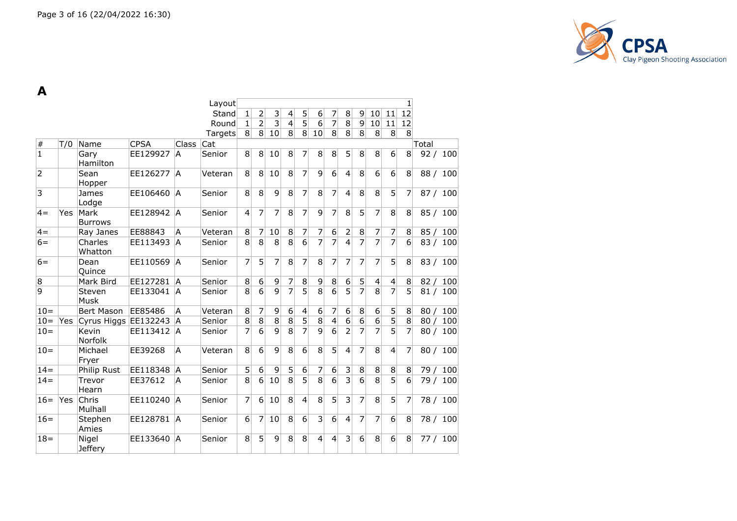

**A**

|                |     |                         |             |              | Layout  |                |                  |                    |                |                         |                         |                          |                |                |                  |                | 1                |       |          |
|----------------|-----|-------------------------|-------------|--------------|---------|----------------|------------------|--------------------|----------------|-------------------------|-------------------------|--------------------------|----------------|----------------|------------------|----------------|------------------|-------|----------|
|                |     |                         |             |              | Stand   | 1              | 2                | 3                  | 4              | 5                       | 6                       | 7                        | 8              | 9              | 10               | 11             | $\overline{12}$  |       |          |
|                |     |                         |             |              | Round   | 1              | $\overline{2}$   | $\overline{3}$     | $\overline{4}$ | $\overline{5}$          | 6                       | $\overline{7}$           | $\overline{8}$ | 9              | 10               | 11             | 12               |       |          |
|                |     |                         |             |              | Targets | 8 <sup>1</sup> | 8 <sup>2</sup>   | 10                 | $\overline{8}$ | 8 <sup>1</sup>          | 10                      | 8 <sup>1</sup>           | 8              | 8 <sup>1</sup> | 8                | 8              | 8                |       |          |
| $\#$           | T/0 | Name                    | <b>CPSA</b> | Class        | Cat     |                |                  |                    |                |                         |                         |                          |                |                |                  |                |                  | Total |          |
| $\overline{1}$ |     | Gary<br>Hamilton        | EE129927    | IA.          | Senior  | 8              | 8 <sup>2</sup>   | 10                 | 8              | 7                       | 8                       | $\bf{8}$                 | 5              | 8              | 8                | 6              | 8 <sup>2</sup>   | 92/   | 100      |
| $\overline{2}$ |     | Sean<br>Hopper          | EE126277    | ÌА.          | Veteran | 8              | 8 <sup>1</sup>   | 10                 | 8              | $\overline{7}$          | 9                       | 6                        | $\overline{4}$ | 8              | $6 \overline{6}$ | 6              | 8                | 88 /  | 100      |
| 3              |     | James<br>Lodge          | EE106460    | IA.          | Senior  | 8              | 8                | 9                  | 8              | $\overline{7}$          | 8                       | $\overline{7}$           | 4              | 8              | 8                | 5              | 7                | 87/   | 100      |
| $4 =$          | Yes | Mark<br><b>Burrows</b>  | EE128942    | IA.          | Senior  | $\overline{4}$ | 7                | 7                  | $\overline{8}$ | $\overline{7}$          | $\overline{9}$          | 7                        | $\overline{8}$ | 5              | $\overline{7}$   | $\overline{8}$ | 8                | 85/   | 100      |
| $4=$           |     | Ray Janes               | EE88843     | A            | Veteran | 8              | 7                | 10                 | 8              | 7                       | 7                       | 6                        | $\overline{2}$ | $\bf 8$        | $\overline{7}$   | 7              | 8                | 85/   | 100      |
| $6=$           |     | Charles<br>Whatton      | EE113493    | IA.          | Senior  | 8              | 8                | 8                  | $\overline{8}$ | $\overline{6}$          | $\overline{7}$          | 7                        | $\overline{4}$ | 7              | $\overline{7}$   | $\overline{7}$ | 6                | 83/   | 100      |
| $6=$           |     | Dean<br>Quince          | EE110569    | <sup>A</sup> | Senior  | 7              | 5                | 7                  | 8              | 7                       | 8                       | 7                        | 7              | 7              | 7                | 5              | 8                | 83/   | 100      |
| 8              |     | Mark Bird               | EE127281    | lA           | Senior  | 8              | 6                | 9                  | 7              | 8                       | 9                       | 8                        | 6              | 5              | 4                | 4              | 8                | 82/   | 100      |
| 9              |     | Steven<br>Musk          | EE133041    | IA.          | Senior  | 8              | $\overline{6}$   | 9                  | $\overline{7}$ | $\overline{5}$          | $\overline{8}$          | $\overline{6}$           | 5              | 7              | $\overline{8}$   | 7              | 5                | 81/   | 100      |
| $10 =$         |     | Bert Mason              | EE85486     | A            | Veteran | 8              | 7                | 9                  | 6              | $\overline{\mathbf{4}}$ | 6                       | 7                        | 6              | 8              | $6 \overline{6}$ | 5              | 8                | 80/   | 100      |
| $10 =$         | Yes | Cyrus Higgs EE132243    |             | A            | Senior  | 8              | $\overline{8}$   | $\overline{\bf 8}$ | $\overline{8}$ | 5                       | $\overline{8}$          | $\overline{\mathcal{L}}$ | $\overline{6}$ | $\overline{6}$ | $\overline{6}$   | $\overline{5}$ | 8                | 80/   | 100      |
| $10 =$         |     | Kevin<br>Norfolk        | EE113412    | <b>A</b>     | Senior  | 7              | $\overline{6}$   | $\overline{9}$     | $\overline{8}$ | $\overline{7}$          | $\overline{9}$          | $\overline{6}$           | $\overline{2}$ | 7              | $\overline{7}$   | $\overline{5}$ | $\overline{7}$   |       | 80 / 100 |
| $10 =$         |     | Michael<br>Fryer        | EE39268     | A            | Veteran | 8              | $6 \overline{6}$ | 9                  | 8              | 6                       | 8                       | 5                        | 4              | $\overline{7}$ | 8                | $\overline{4}$ | 7                | 80/   | 100      |
| $14 =$         |     | Philip Rust             | EE118348    | IA           | Senior  | 5              | 6                | 9                  | 5              | 6                       | 7                       | 6                        | 3              | $\, 8$         | 8                | 8              | 8                | 79 /  | 100      |
| $14 =$         |     | Trevor<br>Hearn         | EE37612     | A            | Senior  | 8              | $6\vert$         | 10                 | $\overline{8}$ | $\overline{5}$          | $\overline{8}$          | $\overline{6}$           | $\overline{3}$ | 6              | $\overline{8}$   | $\overline{5}$ | $6 \overline{6}$ | 79 /  | 100      |
| $16=$          | Yes | Chris<br>Mulhall        | EE110240    | IA.          | Senior  | 7              | 6 <sup>1</sup>   | 10                 | 8              | 4                       | 8                       | 5                        | 3              | 7              | 8                | 5              | 7                | 78 /  | 100      |
| $16=$          |     | Stephen<br>Amies        | EE128781    | <sup>A</sup> | Senior  | 6              | 7                | 10                 | $\overline{8}$ | $\overline{6}$          | $\overline{\mathbf{3}}$ | $\overline{6}$           | $\overline{4}$ | $\overline{7}$ | $\overline{7}$   | $\overline{6}$ | 8                | 78 /  | 100      |
| $18 =$         |     | Nigel<br><b>Jeffery</b> | EE133640    | <b>A</b>     | Senior  | 8              | 5                | 9                  | 8              | 8                       | 4                       | $\overline{4}$           | 3              | 6              | 8                | 6              | 8                | 77/   | 100      |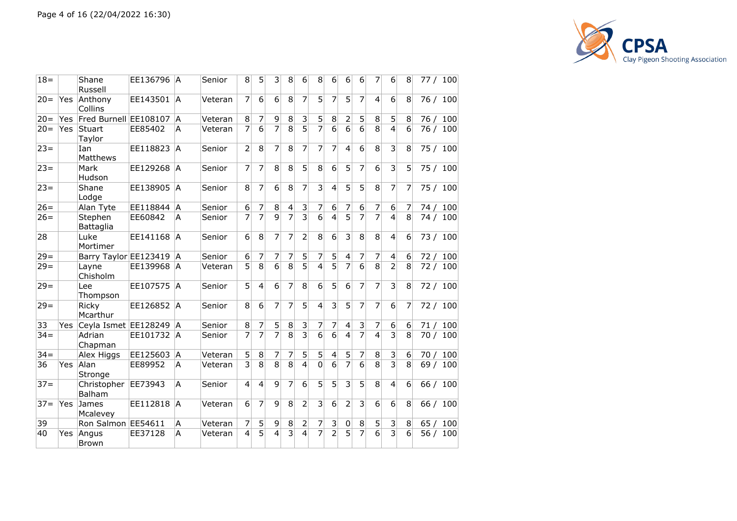

| $18 =$ |            | Shane<br>Russell        | EE136796 A |              | Senior  | 8              | 5              | 3              | 8              | 6              | 8                       | 6                       | 6               | 6              | 7              | 6                       | 8                | 77 / 100 |     |
|--------|------------|-------------------------|------------|--------------|---------|----------------|----------------|----------------|----------------|----------------|-------------------------|-------------------------|-----------------|----------------|----------------|-------------------------|------------------|----------|-----|
| $20 =$ | Yes        | Anthony<br>Collins      | EE143501   | A            | Veteran | 7              | 6              | 6              | 8              | 7              | $\overline{5}$          | 7                       | 5               | 7              | $\overline{4}$ | 6                       | 8                | 76/      | 100 |
| $20 =$ | <b>Yes</b> | Fred Burnell EE108107   |            | A            | Veteran | 8              | 7              | $\overline{9}$ | 8              | 3              | 5                       | 8                       | $\overline{2}$  | 5              | 8              | 5                       | 8                | 76/      | 100 |
| $20 =$ | Yes        | Stuart<br>Taylor        | EE85402    | A            | Veteran | 7              | $\overline{6}$ | $\overline{7}$ | $\overline{8}$ | $\overline{5}$ | $\overline{7}$          | 6                       | $\overline{6}$  | $\overline{6}$ | $\overline{8}$ | $\overline{4}$          | $6\overline{6}$  | 76 / 100 |     |
| $23 =$ |            | Ian<br>Matthews         | EE118823   | A            | Senior  | $\overline{2}$ | 8              | 7              | 8              | 7              | 7                       | $\overline{7}$          | $\vert 4 \vert$ | 6              | 8              | 3                       | 8                | 75 / 100 |     |
| $23 =$ |            | Mark<br>Hudson          | EE129268   | lA.          | Senior  | 7              | 7              | 8              | 8              | 5              | 8                       | 6                       | 5               | $\overline{7}$ | 6              | 3                       | 5                | 75 / 100 |     |
| $23 =$ |            | Shane<br>Lodge          | EE138905   | <sup>A</sup> | Senior  | 8              | 7              | 6              | 8              | 7              | $\overline{3}$          | $\overline{4}$          | 5               | 5              | 8              | 7                       | 7                | 75 / 100 |     |
| $26=$  |            | Alan Tyte               | EE118844   | IA.          | Senior  | 6              | 7              | 8              | 4              | 3              | 7                       | 6                       | 7               | 6              | 7              | 6                       | 7                | 74 / 100 |     |
| $26=$  |            | Stephen<br>Battaglia    | EE60842    | A            | Senior  | $\overline{7}$ | $\overline{7}$ | $\overline{9}$ | $\overline{7}$ | $\overline{3}$ | $\overline{6}$          | $\overline{\mathbf{4}}$ | $\overline{5}$  | $\overline{7}$ | $\overline{7}$ | $\overline{4}$          | 8                | 74 / 100 |     |
| 28     |            | Luke<br>Mortimer        | EE141168   | lA.          | Senior  | 6              | 8              | 7              | 7              | $\overline{2}$ | 8                       | 6                       | $\overline{3}$  | 8              | 8              | $\overline{4}$          | 6                | 73 / 100 |     |
| $29 =$ |            | Barry Taylor EE123419 A |            |              | Senior  | 6              | 7              | 7              | 7              | 5              | 7                       | 5                       | $\overline{4}$  | 7              | 7              | $\overline{\mathbf{4}}$ | 6                | 72 / 100 |     |
| $29=$  |            | Layne<br>Chisholm       | EE139968 A |              | Veteran | 5              | $\overline{8}$ | 6              | $\overline{8}$ | $\overline{5}$ | $\overline{4}$          | 5                       | $\overline{7}$  | 6              | $\overline{8}$ | $\overline{2}$          | 8                | 72 / 100 |     |
| $29 =$ |            | Lee<br>Thompson         | EE107575   | lA.          | Senior  | 5              | $\overline{4}$ | 6              | 7              | 8              | $\overline{6}$          | 5                       | $\overline{6}$  | $\overline{7}$ | $\overline{7}$ | 3                       | 8                | 72 / 100 |     |
| $29 =$ |            | Ricky<br>Mcarthur       | EE126852   | A            | Senior  | 8              | 6              | 7              | 7              | 5              | $\overline{4}$          | 3                       | 5               | 7              | 7              | 6                       | 7                | 72 / 100 |     |
| 33     | Yes        | Ceyla Ismet EE128249 A  |            |              | Senior  | $\overline{8}$ | 7              | 5 <sup>1</sup> | $\overline{8}$ | $\overline{3}$ | 7                       | $\overline{7}$          | $\overline{4}$  | 3              | 7              | 6                       | 6                | 71/      | 100 |
| $34 =$ |            | Adrian<br>Chapman       | EE101732 A |              | Senior  | $\overline{7}$ | $\overline{7}$ | $\overline{7}$ | $\overline{8}$ | $\overline{3}$ | $\overline{6}$          | $\overline{6}$          | $\overline{4}$  | $\overline{7}$ | $\overline{4}$ | $\overline{3}$          | 8                | 70/      | 100 |
| $34 =$ |            | Alex Higgs              | EE125603   | A            | Veteran | 5              | 8              | $\overline{7}$ | 7              | 5              | $\overline{5}$          | $\overline{4}$          | $\overline{5}$  | 7              | 8              | 3                       | $6 \overline{6}$ | 70/      | 100 |
| 36     | <b>Yes</b> | Alan<br>Stronge         | EE89952    | A            | Veteran | 3              | $\overline{8}$ | $\overline{8}$ | $\overline{8}$ | $\overline{4}$ | $\overline{0}$          | $6\overline{6}$         | $\overline{7}$  | 6              | $\overline{8}$ | $\overline{3}$          | 8                | 69 / 100 |     |
| $37 =$ |            | Christopher<br>Balham   | EE73943    | A            | Senior  | $\overline{4}$ | $\overline{4}$ | $\overline{9}$ | $\overline{7}$ | $\overline{6}$ | $\overline{5}$          | $\overline{5}$          | $\overline{3}$  | $\overline{5}$ | $\overline{8}$ | $\overline{4}$          | 6                | 66 / 100 |     |
| $37 =$ | <b>Yes</b> | James<br>Mcalevey       | EE112818   | A            | Veteran | 6              | 7              | 9              | 8              | $\overline{2}$ | $\overline{\mathbf{3}}$ | 6                       | $\overline{2}$  | 3              | 6              | 6                       | 8                | 66 /     | 100 |
| 39     |            | Ron Salmon EE54611      |            | A            | Veteran | 7              | 5              | 9              | 8              | 2              | 7                       | $\vert 3 \vert$         | $\overline{0}$  | 8              | 5 <sup>1</sup> | 3                       | 8                | 65/      | 100 |
| 40     | Yes        | Angus<br><b>Brown</b>   | EE37128    | A            | Veteran | 4              | $\overline{5}$ | 4              | 3              | 4              | $\overline{7}$          | $\overline{2}$          | 5               | $\overline{7}$ | 6              | $\overline{3}$          | 6                | 56/      | 100 |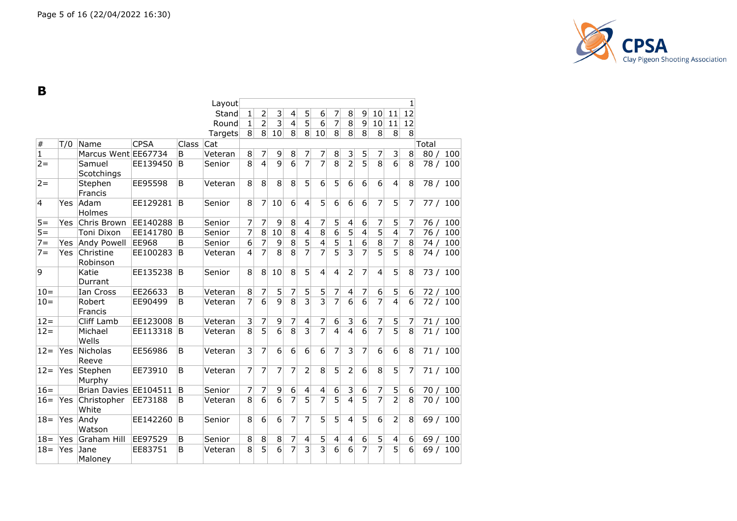

**B**

|              |            |                       |             |       | Layout  |                |                |                |                |                         |                          |                |                |                  |                  |                         | $\mathbf{1}$     |       |     |
|--------------|------------|-----------------------|-------------|-------|---------|----------------|----------------|----------------|----------------|-------------------------|--------------------------|----------------|----------------|------------------|------------------|-------------------------|------------------|-------|-----|
|              |            |                       |             |       | Stand   | $\mathbf{1}$   | $\overline{2}$ | 3              | 4              | 5                       | $\boldsymbol{6}$         | $\overline{7}$ | 8              | $\overline{9}$   | 10 <sup>1</sup>  | 11                      | 12               |       |     |
|              |            |                       |             |       | Round   | $\mathbf{1}$   | $\overline{2}$ | $\overline{3}$ | $\overline{4}$ | $\overline{5}$          | $6\overline{6}$          | $\overline{7}$ | $\overline{8}$ | $\overline{9}$   | 10               | 11                      | 12               |       |     |
|              |            |                       |             |       |         | 8 <sup>1</sup> | 8 <sup>2</sup> |                | 8              | 8 <sup>1</sup>          | 10 <sup>1</sup>          | 8 <sup>1</sup> | 8              | 8                | 8                | 8                       | 8                |       |     |
|              |            |                       |             |       | Targets |                |                | 10             |                |                         |                          |                |                |                  |                  |                         |                  |       |     |
| $\#$         | T/0        | Name                  | <b>CPSA</b> | Class | Cat     |                |                |                |                |                         |                          |                |                |                  |                  |                         |                  | Total |     |
| $\mathbf{1}$ |            | Marcus Went EE67734   |             | B     | Veteran | 8              | 7              | 9              | 8              | 7                       | $\overline{7}$           | 8              | 3              | 5                | $\overline{7}$   | 3                       | 8 <sup>1</sup>   | 80/   | 100 |
| $2 =$        |            | Samuel<br>Scotchings  | EE139450    | B     | Senior  | $\overline{8}$ | $\overline{4}$ | $\overline{9}$ | 6              | $\overline{7}$          | $\overline{7}$           | $\overline{8}$ | $\overline{2}$ | $\overline{5}$   | $\overline{8}$   | $\overline{6}$          | 8                | 78/   | 100 |
| $2 =$        |            | Stephen<br>Francis    | EE95598     | B     | Veteran | $\overline{8}$ | $\overline{8}$ | $\overline{8}$ | $\overline{8}$ | 5                       | $\overline{6}$           | $\overline{5}$ | 6              | $\overline{6}$   | $\overline{6}$   | $\overline{4}$          | 8                | 78 /  | 100 |
| 4            | Yes.       | Adam<br>Holmes        | EE129281    | B     | Senior  | 8              | $\overline{7}$ | 10             | 6              | $\overline{4}$          | 5                        | 6              | 6              | $6\phantom{1}6$  | $\overline{7}$   | 5                       | 7                | 77/   | 100 |
| $5 =$        | <b>Yes</b> | Chris Brown           | EE140288    | B     | Senior  | 7              | 7              | 9              | 8              | $\overline{4}$          | $\overline{7}$           | 5              | 4              | 6                | 7                | 5                       | $\overline{7}$   | 76/   | 100 |
| $5=$         |            | Toni Dixon            | EE141780    | B     | Senior  | 7              | $\overline{8}$ | 10             | $\overline{8}$ | $\overline{4}$          | $\overline{8}$           | $\overline{6}$ | $\overline{5}$ | $\overline{4}$   | $\overline{5}$   | $\overline{4}$          | $\overline{7}$   | 76/   | 100 |
| $7 =$        | Yes        | Andy Powell           | EE968       | B     | Senior  | 6              | 7              | 9              | $\overline{8}$ | $\overline{5}$          | $\overline{\mathbf{4}}$  | 5              | $\mathbf{1}$   | $\overline{6}$   | $\overline{8}$   | $\overline{7}$          | 8                | 74/   | 100 |
| $7 =$        | Yes        | Christine<br>Robinson | EE100283    | B     | Veteran | $\overline{4}$ | $\overline{7}$ | $\overline{8}$ | $\overline{8}$ | $\overline{7}$          | $\overline{7}$           | $\overline{5}$ | $\overline{3}$ | $\overline{7}$   | $\overline{5}$   | $\overline{5}$          | $\overline{8}$   | 74/   | 100 |
| 9            |            | Katie<br>Durrant      | EE135238    | B     | Senior  | 8              | $\overline{8}$ | 10             | 8              | $\overline{5}$          | $\overline{4}$           | $\overline{4}$ | $\overline{2}$ | $\overline{7}$   | $\vert$          | $\overline{5}$          | 8                | 73/   | 100 |
| $10 =$       |            | Ian Cross             | EE26633     | B     | Veteran | 8              | $\overline{7}$ | 5              | 7              | 5                       | 5                        | 7              | 4              | 7                | $\boldsymbol{6}$ | 5                       | $6 \mid$         | 72/   | 100 |
| $10 =$       |            | Robert<br>Francis     | EE90499     | B     | Veteran | $\overline{7}$ | $\overline{6}$ | $\overline{9}$ | $\overline{8}$ | $\overline{\mathsf{3}}$ | $\overline{3}$           | $\overline{7}$ | $\overline{6}$ | $\overline{6}$   | $\overline{7}$   | $\overline{4}$          | $\overline{6}$   | 72/   | 100 |
| $12 =$       |            | Cliff Lamb            | EE123008    | B     | Veteran | 3              | $\overline{7}$ | 9              | 7              | $\overline{4}$          | $\overline{7}$           | 6              | 3              | 6                | $\overline{7}$   | 5                       | 7                | 71/   | 100 |
| $12 =$       |            | Michael<br>Wells      | EE113318    | B     | Veteran | $\overline{8}$ | $\overline{5}$ | $\overline{6}$ | $\overline{8}$ | $\overline{3}$          | $\overline{7}$           | $\overline{4}$ | $\overline{4}$ | $\overline{6}$   | $\overline{7}$   | $\overline{5}$          | $\overline{8}$   | 71/   | 100 |
| $12 =$       | Yes        | Nicholas<br>Reeve     | EE56986     | B     | Veteran | $\overline{3}$ | 7              | 6              | 6              | 6                       | 6                        | 7              | 3              | 7                | 6                | $6\overline{6}$         | 8                | 71/   | 100 |
| $12 =$       | <b>Yes</b> | Stephen<br>Murphy     | EE73910     | B     | Veteran | 7              | $\overline{7}$ | 7              | 7              | $\overline{2}$          | 8                        | 5              | $\overline{2}$ | 6                | 8                | 5                       | 7                | 71/   | 100 |
| $16=$        |            | Brian Davies EE104511 |             | B     | Senior  | 7              | 7              | 9              | 6              | $\overline{\mathbf{4}}$ | $\overline{\mathcal{L}}$ | 6              | 3              | $\boldsymbol{6}$ | $\overline{7}$   | 5                       | $6 \overline{6}$ | 70/   | 100 |
| $16=$        | Yes        | Christopher<br>White  | EE73188     | B     | Veteran | $\overline{8}$ | $\overline{6}$ | $\overline{6}$ | $\overline{7}$ | $\overline{5}$          | $\overline{7}$           | $\overline{5}$ | $\overline{4}$ | $\overline{5}$   | $\overline{7}$   | $\overline{2}$          | $\overline{8}$   | 70/   | 100 |
| $18 =$       | Yes        | Andy<br>Watson        | EE142260    | B     | Senior  | 8              | 6              | 6              | 7              | 7                       | 5                        | 5              | 4              | 5                | 6                | $\overline{2}$          | 8                | 69/   | 100 |
| $18 =$       | Yes        | Graham Hill           | EE97529     | B     | Senior  | 8              | 8              | 8              | 7              | $\overline{\mathbf{4}}$ | $5\overline{)}$          | 4              | 4              | $6\overline{6}$  | $\overline{5}$   | $\overline{\mathbf{4}}$ | $6 \mid$         | 69/   | 100 |
| $18 =$       | Yes        | Jane<br>Maloney       | EE83751     | B     | Veteran | 8              | $\overline{5}$ | $\overline{6}$ | $\overline{7}$ | $\overline{3}$          | $\overline{3}$           | $\overline{6}$ | $\overline{6}$ | $\overline{7}$   | $\overline{7}$   | $\overline{5}$          | $\overline{6}$   | 69/   | 100 |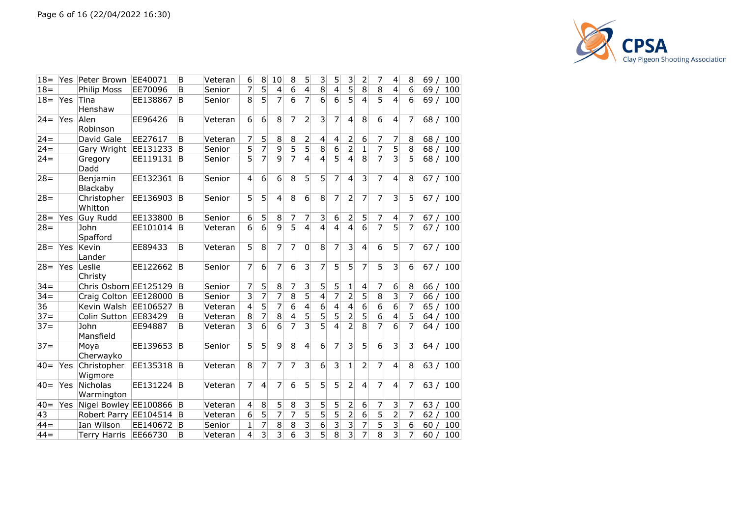

| $18 =$ | Yes | Peter Brown                   | EE40071  | B              | Veteran | 6              | 8              | 10                      | 8              | 5                       | 3              | 5              | 3                       | 2              | 7              | 4                       | 8               | 69 /<br><b>100</b> |
|--------|-----|-------------------------------|----------|----------------|---------|----------------|----------------|-------------------------|----------------|-------------------------|----------------|----------------|-------------------------|----------------|----------------|-------------------------|-----------------|--------------------|
| $18 =$ |     | <b>Philip Moss</b>            | EE70096  | B              | Senior  | 7              | 5              | $\overline{\mathbf{4}}$ | 6              | 4                       | $\overline{8}$ | $\overline{4}$ | $\overline{5}$          | 8              | $\overline{8}$ | 4                       | 6               | 69/<br>100         |
| $18 =$ | Yes | Tina<br>Henshaw               | EE138867 | B              | Senior  | 8              | 5              | 7                       | 6              | 7                       | 6              | 6              | 5                       | 4              | 5              | 4                       | 6               | 69/<br>100         |
| $24 =$ | Yes | Alen<br>Robinson              | EE96426  | B              | Veteran | 6              | 6              | 8                       | 7              | $\overline{2}$          | 3              | 7              | 4                       | 8              | 6              | $\overline{4}$          | 7               | 68/<br>100         |
| $24 =$ |     | David Gale                    | EE27617  | B              | Veteran | 7              | 5              | $\,8\,$                 | 8              | 2                       | 4              | $\overline{4}$ | 2                       | 6              | 7              | 7                       | 8               | 68/<br>100         |
| $24 =$ |     | Gary Wright                   | EE131233 | B              | Senior  | $\overline{5}$ | $\overline{7}$ | 9                       | $\overline{5}$ | $\overline{5}$          | 8              | 6              | $\overline{2}$          | $\overline{1}$ | $\overline{7}$ | $\overline{5}$          | 8               | 68/<br>100         |
| $24 =$ |     | Gregory<br>Dadd               | EE119131 | ΙB.            | Senior  | 5              | $\overline{7}$ | 9                       | $\overline{7}$ | 4                       | 4              | 5              | 4                       | 8              | $\overline{7}$ | $\overline{3}$          | 5               | 68/<br>100         |
| $28 =$ |     | Benjamin<br>Blackaby          | EE132361 | B              | Senior  | $\overline{4}$ | $\overline{6}$ | $\overline{6}$          | $\overline{8}$ | 5                       | 5              | 7              | $\overline{4}$          | 3              | 7              | 4                       | 8               | 67/<br>100         |
| $28 =$ |     | Christopher<br>Whitton        | EE136903 | B              | Senior  | 5              | 5              | $\overline{4}$          | 8              | 6                       | 8              | 7              | $\overline{2}$          | 7              | 7              | 3                       | 5               | 67/<br>100         |
| $28 =$ | Yes | Guy Rudd                      | EE133800 | <sup>1</sup> B | Senior  | 6              | 5              | $\,8\,$                 | 7              | 7                       | 3              | 6              | $\overline{2}$          | 5              | 7              | $\overline{\mathbf{4}}$ | $\overline{7}$  | 67/<br>100         |
| $28 =$ |     | John<br>Spafford              | EE101014 | B              | Veteran | 6              | 6              | $\overline{9}$          | $\overline{5}$ | 4                       | 4              | $\overline{4}$ | $\overline{4}$          | 6              | $\overline{7}$ | $\overline{5}$          | 7               | 67/<br>100         |
| $28 =$ | Yes | Kevin<br>Lander               | EE89433  | B              | Veteran | 5              | 8              | 7                       | 7              | 0                       | 8              | 7              | 3                       | 4              | 6              | 5                       | 7               | 67 / 100           |
| $28 =$ | Yes | Leslie<br>Christy             | EE122662 | B              | Senior  | 7              | 6              | 7                       | 6              | 3                       | 7              | 5              | 5                       | 7              | 5              | 3                       | 6               | 67/<br>100         |
| $34 =$ |     | Chris Osborn EE125129         |          | B              | Senior  | 7              | 5              | $\,8\,$                 | 7              | 3                       | 5              | 5              | 1                       | 4              | 7              | 6                       | 8               | 100<br>66/         |
| $34 =$ |     | Craig Colton EE128000         |          | B              | Senior  | 3              | 7              | 7                       | 8              | 5                       | 4              | 7              | $\overline{2}$          | 5              | $\overline{8}$ | 3                       | 7               | 66/<br>100         |
| 36     |     | Kevin Walsh EE106527          |          | B              | Veteran | $\overline{4}$ | $\overline{5}$ | 7                       | $\overline{6}$ | 4                       | $\overline{6}$ | $\overline{4}$ | $\overline{4}$          | $\overline{6}$ | $\overline{6}$ | $\overline{6}$          | 7               | 100<br>65 /        |
| $37 =$ |     | Colin Sutton EE83429          |          | B              | Veteran | 8              | 7              | 8                       | 4              | 5                       | 5              | 5              | $\overline{2}$          | 5              | 6              | 4                       | 5               | 100<br>64/         |
| $37 =$ |     | John<br>Mansfield             | EE94887  | <sub>B</sub>   | Veteran | 3              | $\overline{6}$ | 6                       | 7              | $\overline{\mathbf{3}}$ | $\overline{5}$ | 4              | $\overline{2}$          | $\overline{8}$ | $\overline{7}$ | $\overline{6}$          | 7               | 64/<br>100         |
| $37 =$ |     | Moya<br>Cherwayko             | EE139653 | B              | Senior  | 5              | 5              | $\mathsf{q}$            | 8              | 4                       | 6              | 7              | 3                       | 5              | $\overline{6}$ | 3                       | 3               | 64 / 100           |
| $40=$  | Yes | Christopher<br>Wigmore        | EE135318 | B              | Veteran | 8              | 7              | 7                       | 7              | 3                       | 6              | $\overline{3}$ | 1                       | $\overline{2}$ | $\overline{7}$ | 4                       | 8               | 63/<br>100         |
| $40 =$ | Yes | <b>Nicholas</b><br>Warmington | EE131224 | B              | Veteran | 7              | $\overline{4}$ | 7                       | 6              | 5                       | 5              | 5              | $\overline{2}$          | 4              | 7              | $\overline{4}$          | 7               | 63/<br>100         |
| $40=$  | Yes | Nigel Bowley EE100866         |          | ΙB             | Veteran | 4              | 8              | 5                       | 8              | 3                       | 5              | 5              | 2                       | 6              | 7              | 3                       | 7               | 63/<br>100         |
| 43     |     | Robert Parry EE104514         |          | B              | Veteran | 6              | 5              | $\overline{7}$          | 7              | 5                       | $\overline{5}$ | 5              | $\overline{2}$          | 6              | $\overline{5}$ | $\overline{2}$          | $\overline{7}$  | 62/<br>100         |
| $44 =$ |     | Ian Wilson                    | EE140672 | B              | Senior  | $\mathbf{1}$   | 7              | $\bf 8$                 | 8              | 3                       | $\overline{6}$ | 3              | 3                       | 7              | 5              | 3                       | $6\overline{6}$ | 100<br>60/         |
| $44 =$ |     | <b>Terry Harris</b>           | EE66730  | B              | Veteran | $\overline{4}$ | $\overline{3}$ | $\overline{3}$          | $\overline{6}$ | $\overline{\mathbf{3}}$ | $\overline{5}$ | 8              | $\overline{\mathbf{3}}$ | $\overline{7}$ | 8              | $\overline{3}$          | $\overline{7}$  | 100<br>60          |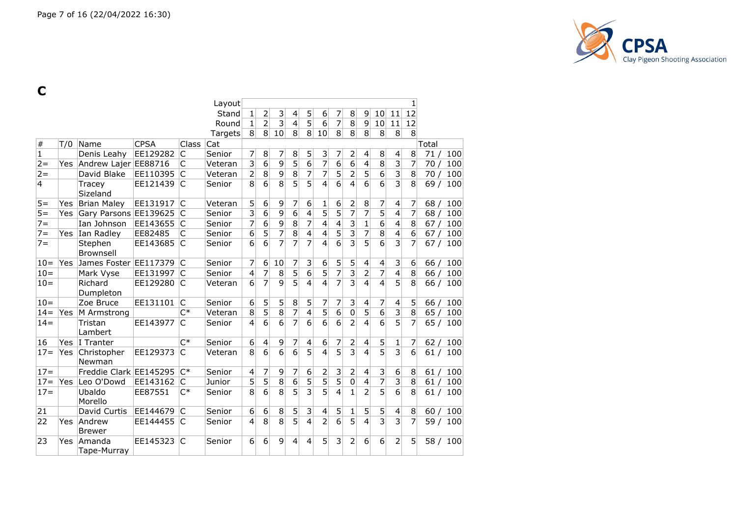

**C**

|                |            |                           |             |                | Layout  |                         |                         |                |                |                |                 |                         |                           |                         |                 |                         | 1                |       |          |
|----------------|------------|---------------------------|-------------|----------------|---------|-------------------------|-------------------------|----------------|----------------|----------------|-----------------|-------------------------|---------------------------|-------------------------|-----------------|-------------------------|------------------|-------|----------|
|                |            |                           |             |                | Stand   | $\mathbf 1$             | $\overline{2}$          | 3              | 4              | 5              | $6\,$           | 7                       | 8                         | 9                       | 10 <sup>1</sup> | 11                      | 12               |       |          |
|                |            |                           |             |                | Round   | 1                       | $\overline{2}$          | $\overline{3}$ | 4              | $\overline{5}$ | $6\overline{6}$ | 7                       | 8                         | 9                       | 10 <sup>1</sup> | 11                      | 12               |       |          |
|                |            |                           |             |                | Targets | 8                       | 8 <sup>°</sup>          | 10             | 8              | 8 <sup>°</sup> | 10              | 8 <sup>1</sup>          | 8                         | 8                       | 8               | 8                       | 8                |       |          |
| $\#$           | T/0        | Name                      | <b>CPSA</b> | Class          | Cat     |                         |                         |                |                |                |                 |                         |                           |                         |                 |                         |                  | Total |          |
| $\mathbf{1}$   |            | Denis Leahy               | EE129282    | C              | Senior  | 7                       | 8                       | 7              | 8              | 5              | $\vert$ 3       | 7                       | $\overline{c}$            | 4                       | 8 <sup>1</sup>  | 4                       | 8                | 71/   | 100      |
| $2 =$          |            | Yes Andrew Lajer EE88716  |             | $\mathsf{C}$   | Veteran | $\overline{\mathbf{3}}$ | $\overline{6}$          | $\overline{9}$ | $\overline{5}$ | $\overline{6}$ | $\overline{7}$  | $\overline{6}$          | $\overline{6}$            | 4                       | $\overline{8}$  | $\overline{\mathbf{3}}$ | 7                | 70/   | 100      |
| $2 =$          |            | David Blake               | EE110395    | $\overline{C}$ | Veteran | $\overline{2}$          | $\overline{8}$          | $\overline{9}$ | $\overline{8}$ | 7              | 7               | $\overline{5}$          | $\overline{2}$            | 5                       | $\overline{6}$  | $\overline{\mathsf{3}}$ | 8                | 70/   | 100      |
| $\overline{4}$ |            | Tracey<br>Sizeland        | EE121439    | C              | Senior  | 8                       | $\overline{6}$          | 8              | $\overline{5}$ | 5              | $\overline{4}$  | $\overline{6}$          | $\overline{4}$            | 6                       | $\overline{6}$  | $\overline{3}$          | 8                | 69/   | 100      |
| $5 =$          | Yes        | <b>Brian Maley</b>        | EE131917    | C              | Veteran | 5                       | 6                       | 9              | 7              | 6              | 1               | 6                       | $\overline{c}$            | $\, 8$                  | 7               | 4                       | 7                | 68/   | 100      |
| $5 =$          | Yes        | Gary Parsons EE139625     |             | $\mathsf{C}$   | Senior  | $\overline{\mathbf{3}}$ | $\overline{6}$          | $\overline{9}$ | $\overline{6}$ | $\overline{4}$ | $\overline{5}$  | $\overline{5}$          | $\overline{7}$            | $\overline{7}$          | $\overline{5}$  | 4                       | 7                | 68/   | 100      |
| $7 =$          |            | Ian Johnson               | EE143655    | $\mathsf{C}$   | Senior  | 7                       | $\overline{6}$          | $\overline{9}$ | $\overline{8}$ | 7              | $\overline{4}$  | $\overline{\mathbf{4}}$ | 3                         | $\mathbf{1}$            | $\overline{6}$  | 4                       | 8                | 67/   | 100      |
| $7 =$          |            | Yes Ian Radley            | EE82485     | C              | Senior  | $\overline{6}$          | $\overline{5}$          | $\overline{7}$ | 8              | $\overline{4}$ | $\overline{4}$  | $\overline{5}$          | $\overline{\overline{3}}$ | 7                       | 8               | 4                       | $\overline{6}$   | 67/   | 100      |
| $7 =$          |            | Stephen<br>Brownsell      | EE143685    | C              | Senior  | 6                       | 6                       | $\overline{7}$ | $\overline{7}$ | 7              | $\overline{4}$  | $\overline{6}$          | $\overline{3}$            | 5                       | 6               | $\overline{3}$          | $\overline{7}$   | 67/   | 100      |
| $10 =$         |            | Yes James Foster EE117379 |             | C              | Senior  | 7                       | $6\,$                   | 10             | 7              | $\overline{3}$ | $6\phantom{1}6$ | $\overline{5}$          | 5                         | $\overline{4}$          | $\overline{4}$  | $\overline{3}$          | $\boldsymbol{6}$ | 66/   | 100      |
| $10 =$         |            | Mark Vyse                 | EE131997    | C              | Senior  | 4                       | 7                       | 8              | $\overline{5}$ | $\overline{6}$ | $\overline{5}$  | $\overline{7}$          | $\overline{3}$            | $\overline{2}$          | $\overline{7}$  | 4                       | 8                | 66/   | 100      |
| $10 =$         |            | Richard<br>Dumpleton      | EE129280    | C              | Veteran | $6\overline{6}$         | $\overline{7}$          | $\overline{9}$ | $\overline{5}$ | $\overline{4}$ | $\overline{4}$  | $\overline{7}$          | $\overline{3}$            | $\overline{4}$          | $\overline{4}$  | $\overline{5}$          | 8                |       | 66 / 100 |
| $10 =$         |            | Zoe Bruce                 | EE131101    | $\mathsf{C}$   | Senior  | 6                       | 5                       | 5              | 8              | 5              | 7               | 7                       | 3                         | 4                       | $\overline{7}$  | $\overline{\mathbf{4}}$ | 5                |       | 66 / 100 |
| $14 =$         | <b>Yes</b> | M Armstrong               |             | $C^*$          | Veteran | $\overline{8}$          | $\overline{5}$          | $\overline{8}$ | $\overline{7}$ | $\overline{4}$ | $\overline{5}$  | $\overline{6}$          | $\overline{0}$            | $\overline{5}$          | $\overline{6}$  |                         | $\overline{8}$   | 65/   | 100      |
| $14 =$         |            | Tristan<br>Lambert        | EE143977    | C              | Senior  | $\overline{4}$          | $\overline{6}$          | $\overline{6}$ | $\overline{7}$ | 6              | $\overline{6}$  | $\overline{6}$          | $\overline{2}$            | $\overline{4}$          | $\overline{6}$  | $\overline{5}$          | 7                | 65/   | 100      |
| 16             | Yes        | I Tranter                 |             | $C^*$          | Senior  | 6                       | $\overline{\mathbf{4}}$ | 9              | 7              | 4              | 6               | 7                       | 2                         | 4                       | 5               | 1                       | 7                | 62/   | 100      |
| $17 =$         | Yes        | Christopher<br>Newman     | EE129373    | C              | Veteran | $\overline{8}$          | $\overline{6}$          | $\overline{6}$ | $\overline{6}$ | $\overline{5}$ | 4               | $\overline{5}$          | $\overline{3}$            | $\overline{4}$          | $\overline{5}$  | $\overline{3}$          | $\overline{6}$   | 61/   | 100      |
| $17 =$         |            | Freddie Clark EE145295    |             | $C^*$          | Senior  | 4                       | $\overline{7}$          | 9              | 7              | 6              | $\overline{2}$  | 3                       | 2                         | 4                       | $\overline{3}$  | 6                       | 8                | 61/   | 100      |
| $17 =$         |            | Yes Leo O'Dowd            | EE143162    | lC.            | Junior  | 5                       | $\overline{5}$          | 8              | 6              | $\overline{5}$ | $\overline{5}$  | $\overline{5}$          | $\overline{0}$            | $\overline{\mathbf{4}}$ | $\overline{7}$  | $\overline{\mathbf{3}}$ | $\overline{8}$   | 61/   | 100      |
| $17 =$         |            | Ubaldo<br>Morello         | EE87551     | $C^*$          | Senior  | 8                       | 6                       | 8              | 5              | $\overline{3}$ | $\overline{5}$  | 4                       | $\overline{1}$            | $\overline{2}$          | $\overline{5}$  | 6                       | 8                | 61/   | 100      |
| 21             |            | David Curtis              | EE144679    | C              | Senior  | 6                       | 6                       | 8              | 5              | $\mathsf 3$    | $\overline{4}$  | 5                       | 1                         | 5                       | 5 <sup>1</sup>  | $\overline{\mathbf{4}}$ | 8                | 60/   | 100      |
| 22             | Yes        | Andrew<br><b>Brewer</b>   | EE144455    | lC             | Senior  | $\overline{4}$          | 8                       | $\overline{8}$ | $\overline{5}$ | $\overline{4}$ | $\overline{2}$  | $\overline{6}$          | $\overline{5}$            | $\overline{4}$          | $\overline{3}$  | $\overline{3}$          | $\overline{7}$   | 59/   | 100      |
| 23             | <b>Yes</b> | Amanda<br>Tape-Murray     | EE145323    | C              | Senior  | 6                       | 6                       | 9              | 4              | $\overline{4}$ | 5               | 3                       | 2                         | 6                       | 6               | $\overline{2}$          | 5                | 58 /  | 100      |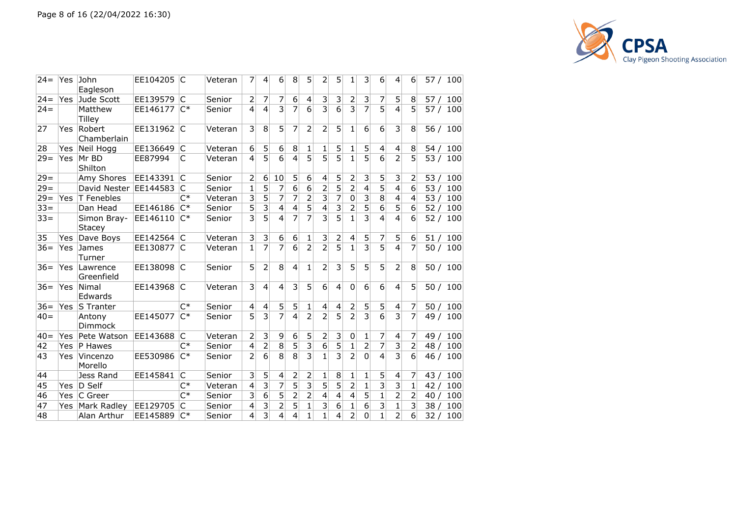

| $24 =$ | Yes        | John<br>Eagleson         | EE104205   | $\overline{\mathsf{C}}$ | Veteran | 7              | 4                       | 6              | 8              | 5              | 2                       | 5              | 1              | 3                         | 6                        | 4                         | 6              | 57 /<br>100            |
|--------|------------|--------------------------|------------|-------------------------|---------|----------------|-------------------------|----------------|----------------|----------------|-------------------------|----------------|----------------|---------------------------|--------------------------|---------------------------|----------------|------------------------|
| $24 =$ |            | Yes Jude Scott           | EE139579 C |                         | Senior  | 2              | $\overline{7}$          | $\overline{7}$ | 6              | 4              | 3                       | $\overline{3}$ | 2              | 3                         | 7                        | 5                         | 8              | 57/100                 |
| $24 =$ |            | Matthew<br><b>Tilley</b> | EE146177   | $C^*$                   | Senior  | 4              | $\overline{4}$          | $\overline{3}$ | $\overline{7}$ | 6              | $\overline{3}$          | 6              | $\overline{3}$ | $\overline{7}$            | $\overline{5}$           | $\overline{a}$            | 5              | 57 / 100               |
| 27     | Yes        | Robert<br>Chamberlain    | EE131962 C |                         | Veteran | 3              | 8                       | 5              | 7              | $\overline{2}$ | $\overline{2}$          | $\overline{5}$ | 1              | 6                         | 6                        | 3                         | 8              | 56 / 100               |
| 28     | <b>Yes</b> | Neil Hogg                | EE136649   | C                       | Veteran | 6              | 5                       | 6              | 8              | 1              | 1                       | 5              | 1              | 5                         | $\overline{\mathcal{L}}$ | $\overline{4}$            | 8              | 54 /<br>100            |
| $29 =$ | Yes        | Mr BD<br>Shilton         | EE87994    | C                       | Veteran | 4              | $\overline{5}$          | $\overline{6}$ | 4              | $\overline{5}$ | $\overline{5}$          | $\overline{5}$ | $\overline{1}$ | $\overline{5}$            | $\overline{6}$           | $\overline{2}$            | 5              | 53/<br>100             |
| $29 =$ |            | Amy Shores               | EE143391   | C                       | Senior  | 2              | 6                       | 10             | 5              | 6              | 4                       | 5              | 2              | 3                         | 5                        | 3                         | 2              | 100<br>53 /            |
| $29 =$ |            | David Nester             | EE144583   | C                       | Senior  | 1              | 5                       | 7              | 6              | 6              | $\overline{2}$          | 5              | $\overline{2}$ | 4                         | $\overline{5}$           | $\overline{4}$            | 6              | 53 <sub>1</sub><br>100 |
| $29 =$ | Yes.       | T Fenebles               |            | $C^*$                   | Veteran | 3              | $\overline{5}$          | 7              | $\overline{7}$ | $\overline{2}$ | $\overline{\mathbf{3}}$ | 7              | $\mathsf 0$    | $\overline{\mathbf{3}}$   | $\overline{8}$           | 4                         | 4              | 53/<br>100             |
| $33 =$ |            | Dan Head                 | EE146186   | $C^*$                   | Senior  | 5              | $\overline{3}$          | $\overline{4}$ | 4              | 5              | 4                       | $\overline{3}$ | $\overline{2}$ | 5                         | $\overline{6}$           | 5                         | 6              | 52/<br>100             |
| $33 =$ |            | Simon Bray-<br>Stacey    | EE146110   | $C^*$                   | Senior  | 3              | $\overline{5}$          | 4              | 7              | 7              | $\overline{3}$          | 5              | 1              | 3                         | $\overline{4}$           | 4                         | 6              | 52/<br>100             |
| 35     | Yes        | Dave Boys                | EE142564 C |                         | Veteran | 3              | 3                       | 6              | 6              | 1              | 3                       | 2              | 4              | 5                         | 7                        | 5                         | 6              | 51/100                 |
| $36 =$ | Yes        | James<br>Turner          | EE130877   | IC.                     | Veteran | 1              | $\overline{7}$          | 7              | 6              | $\overline{2}$ | $\overline{2}$          | 5              | $\overline{1}$ | $\overline{\overline{3}}$ | $\overline{5}$           | $\overline{4}$            | 7              | 50 / 100               |
| $36 =$ | Yes        | Lawrence<br>Greenfield   | EE138098 C |                         | Senior  | 5              | $\overline{2}$          | 8              | $\overline{4}$ | $\mathbf{1}$   | $\overline{2}$          | 3              | 5              | 5                         | 5                        | $\overline{2}$            | 8              | 50 / 100               |
| $36=$  | <b>Yes</b> | Nimal<br>Edwards         | EE143968   | C                       | Veteran | 3              | $\overline{4}$          | $\overline{4}$ | 3              | 5              | 6                       | 4              | 0              | 6                         | 6                        | $\overline{4}$            | 5              | 50/100                 |
| $36=$  | Yes        | <b>S</b> Tranter         |            | $C^*$                   | Senior  | 4              | $\overline{4}$          | 5              | 5              | 1              | 4                       | 4              | 2              | 5                         | 5                        | $\overline{4}$            | 7              | 50/100                 |
| $40=$  |            | Antony<br>Dimmock        | EE145077   | $C^*$                   | Senior  | 5              | $\overline{3}$          | $\overline{7}$ | $\overline{4}$ | $\overline{2}$ | $\overline{2}$          | $\overline{5}$ | $\overline{2}$ | $\overline{\overline{3}}$ | $\overline{6}$           | $\overline{3}$            | 7              | 49/<br>100             |
| $40 =$ | Yes        | Pete Watson              | EE143688   | C                       | Veteran | 2              | 3                       | 9              | 6              | 5              | $\overline{2}$          | 3              | 0              | 1                         | 7                        | $\overline{\mathcal{A}}$  | 7              | 49/<br>100             |
| 42     | <b>Yes</b> | <b>P</b> Hawes           |            | $C^*$                   | Senior  | 4              | $\overline{2}$          | 8              | $\overline{5}$ | $\overline{3}$ | 6                       | 5              | $\overline{1}$ | $\overline{2}$            | $\overline{7}$           | $\overline{\overline{3}}$ | $\overline{2}$ | 48/<br>100             |
| 43     | Yes        | Vincenzo<br>Morello      | EE530986   | $C^*$                   | Senior  | $\overline{2}$ | 6                       | 8              | 8              | $\overline{3}$ | 1                       | 3              | $\overline{2}$ | 0                         | $\overline{4}$           | $\overline{3}$            | 6              | 46/<br>100             |
| 44     |            | Jess Rand                | EE145841   | C                       | Senior  | 3              | 5                       | 4              | 2              | 2              | 1                       | 8              | 1              | 1                         | 5                        | 4                         | 7              | 100<br>43 /            |
| 45     | Yes.       | $ D\ \mathsf{Self} $     |            | $C^*$                   | Veteran | 4              | $\overline{3}$          | 7              | $\overline{5}$ | $\mathsf{B}$   | 5                       | 5              | $\overline{2}$ | $\mathbf{1}$              | $\overline{3}$           | 3                         | 1              | 42/<br>100             |
| 46     |            | Yes C Greer              |            | $C^*$                   | Senior  | 3              | $\overline{6}$          | 5              | $\overline{2}$ | 2              | 4                       | 4              | $\overline{4}$ | 5                         | $\mathbf{1}$             | $\overline{2}$            | 2              | 100<br>40/             |
| 47     | Yes        | Mark Radley              | EE129705   | C                       | Senior  | 4              | $\overline{\mathbf{3}}$ | $\overline{2}$ | 5              | $\mathbf 1$    | 3                       | 6              | $\mathbf{1}$   | 6                         | $\overline{3}$           | $\mathbf{1}$              | 3              | 38<br>100              |
| 48     |            | Alan Arthur              | EE145889   | $C^*$                   | Senior  | 4              | $\overline{3}$          | $\overline{4}$ | $\overline{4}$ | $\overline{1}$ | $\overline{1}$          | 4              | $\overline{2}$ | $\overline{0}$            | $\overline{1}$           | $\overline{2}$            | 6              | 100<br>32/             |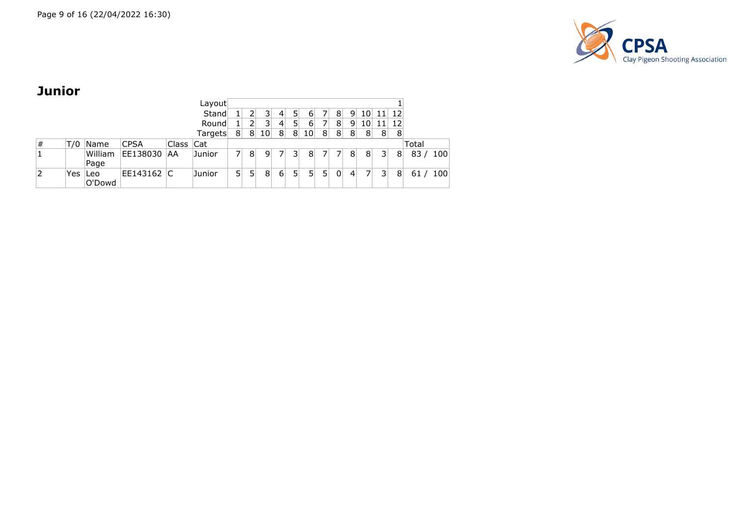

## **Junior**

|   |     |         |             |           | Layout  |    |                |                 |                |                |                 |   |                |                 |    |                |    |       |     |
|---|-----|---------|-------------|-----------|---------|----|----------------|-----------------|----------------|----------------|-----------------|---|----------------|-----------------|----|----------------|----|-------|-----|
|   |     |         |             |           | Stand   |    | 2              | 31              | 4              | 5 <sub>1</sub> | $6 \mid$        |   | 8              | $\overline{9}$  | 10 | 11             | 12 |       |     |
|   |     |         |             |           | Round   |    | 2              | 3               | 4              | 5 <sub>1</sub> | $6 \mid$        |   | 8              | 9               | 10 | 11             | 12 |       |     |
|   |     |         |             |           | Targets | 8  | 8 <sup>1</sup> | 10 <sup>1</sup> | 8 <sup>°</sup> | 8 <sup>1</sup> | 10 <sup>1</sup> | 8 | 8 <sup>°</sup> | 8 <sup>1</sup>  | 8  | 8              | 8  |       |     |
| # | T/0 | Name    | <b>CPSA</b> | Class Cat |         |    |                |                 |                |                |                 |   |                |                 |    |                |    | Total |     |
|   |     | William | EE138030    | ΑA        | Junior  |    | 8              | 9 <sup>1</sup>  |                | 3 <sup>1</sup> | 8               | 7 |                | 8               | 8  | 3 <sup>1</sup> | 8  | 83/   | 100 |
|   |     | Page    |             |           |         |    |                |                 |                |                |                 |   |                |                 |    |                |    |       |     |
|   | Yes | lLeo    | EE143162 C  |           | Junior  | 51 | 5              | 8               | $6 \mid$       | 5 <sup>1</sup> | 5 <sup>1</sup>  | 5 | 0              | $\vert 4 \vert$ |    | 3              | 8  | 61    | 100 |
|   |     | O'Dowd  |             |           |         |    |                |                 |                |                |                 |   |                |                 |    |                |    |       |     |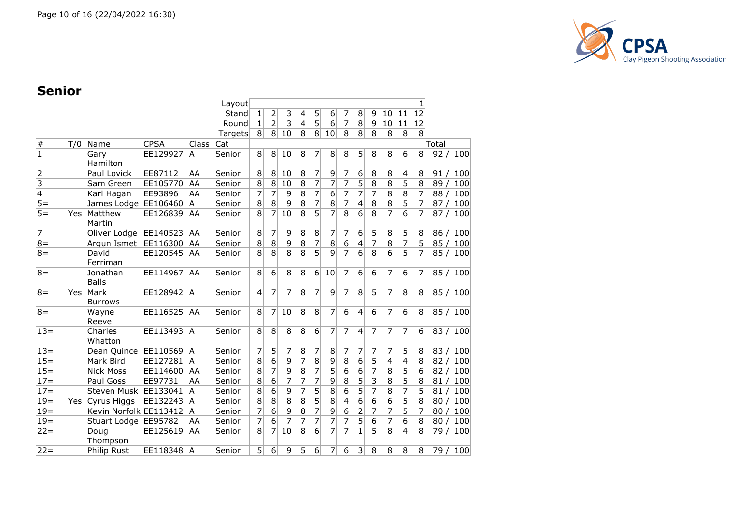

### **Senior**

|                         |     |                          |             |              | Layout  |                |                 |                |                 |                  |                |                |                |                |                         |                 | 1              |       |          |
|-------------------------|-----|--------------------------|-------------|--------------|---------|----------------|-----------------|----------------|-----------------|------------------|----------------|----------------|----------------|----------------|-------------------------|-----------------|----------------|-------|----------|
|                         |     |                          |             |              | Stand   | 1              | $\mathbf{2}$    | 3              | $\vert 4 \vert$ | 5                | 6              | 7              | 8              | 9              | 10                      | 11              | 12             |       |          |
|                         |     |                          |             |              | Round   | $\mathbf{1}$   | $\overline{2}$  | $\overline{3}$ | $\vert 4 \vert$ | $\overline{5}$   | $\overline{6}$ | $\overline{7}$ | $\overline{8}$ | 9              | 10                      | 11              | 12             |       |          |
|                         |     |                          |             |              | Targets | 8              | 8 <sup>1</sup>  | 10             | 8 <sup>°</sup>  | 8 <sup>1</sup>   | 10             | 8              | 8              | 8 <sup>1</sup> | 8                       | 8               | 8              |       |          |
| $\#$                    | T/0 | Name                     | <b>CPSA</b> | <b>Class</b> | Cat     |                |                 |                |                 |                  |                |                |                |                |                         |                 |                | Total |          |
| $\overline{\mathbf{1}}$ |     | Gary<br>Hamilton         | EE129927    | A            | Senior  | 8              | 8 <sup>1</sup>  | 10             | 8               | 7                | 8              | 8 <sup>1</sup> | 5              | 8 <sup>1</sup> | 8                       | $6\overline{6}$ | 8              | 92/   | 100      |
| $\overline{2}$          |     | Paul Lovick              | EE87112     | AA           | Senior  | 8              | 8               | 10             | 8               | 7                | 9              | $\overline{7}$ | 6              | 8              | 8                       | 4               | 8              | 91/   | 100      |
| $\overline{\mathbf{3}}$ |     | Sam Green                | EE105770    | AA           | Senior  | 8              | 8 <sup>°</sup>  | 10             | 8               | $\overline{7}$   | 7              | $\overline{7}$ | 5              | $\overline{8}$ | $\, 8$                  | 5               | $\overline{8}$ | 89/   | 100      |
| $\overline{4}$          |     | Karl Hagan               | EE93896     | AA           | Senior  | $\overline{7}$ | $\overline{7}$  | 9              | 8               | $\overline{7}$   | $\overline{6}$ | $\overline{7}$ | $\overline{7}$ | 7              | 8                       | 8               | $\overline{7}$ | 88/   | 100      |
| $5 =$                   |     | James Lodge EE106460     |             | A            | Senior  | 8              | 8 <sup>°</sup>  | 9              | 8               | $\overline{7}$   | $\,8\,$        | $\overline{7}$ | 4              | $\bf 8$        | 8                       | 5               | $\overline{7}$ | 87/   | 100      |
| $\overline{5}$          | Yes | Matthew<br>Martin        | EE126839    | AA           | Senior  | 8              | $\overline{7}$  | 10             | 8               | $\overline{5}$   | $\overline{7}$ | $\overline{8}$ | $\overline{6}$ | $\overline{8}$ | $\overline{7}$          | 6               | $\overline{7}$ | 87/   | 100      |
| $\overline{7}$          |     | Oliver Lodge             | EE140523    | <b>AA</b>    | Senior  | 8              | $\overline{7}$  | 9              | 8               | 8                | 7              | 7              | 6              | 5              | 8                       | 5               | 8              | 86/   | 100      |
| $8 =$                   |     | Argun Ismet              | EE116300    | <b>AA</b>    | Senior  | $\overline{8}$ | $\bf 8$         | $\overline{9}$ | $\overline{8}$  | $\overline{7}$   | $\overline{8}$ | $\overline{6}$ | 4              | $\overline{7}$ | $\overline{8}$          | $\overline{7}$  | 5              | 85/   | 100      |
| $8 =$                   |     | David<br>Ferriman        | EE120545    | AA           | Senior  | 8              | 8 <sup>°</sup>  | $\overline{8}$ | 8               | $\overline{5}$   | 9              | $\overline{7}$ | 6              | 8              | $\overline{6}$          | $\overline{5}$  | 7              | 85/   | 100      |
| $8 =$                   |     | Jonathan<br><b>Balls</b> | EE114967    | AA.          | Senior  | 8              | 6               | 8              | 8               | $6 \overline{6}$ | 10             | $\overline{7}$ | 6              | 6              | $\overline{7}$          | 6               | 7              | 85/   | 100      |
| $8 =$                   | Yes | Mark<br><b>Burrows</b>   | EE128942 A  |              | Senior  | $\overline{4}$ | $\overline{7}$  | 7              | 8               | 7                | $\mathsf{q}$   | $\overline{7}$ | 8              | 5              | 7                       | 8               | 8              | 85/   | 100      |
| $8 =$                   |     | Wayne<br>Reeve           | EE116525    | AA           | Senior  | 8              | $\overline{7}$  | 10             | 8               | 8                | 7              | 6              | $\overline{4}$ | 6              | $\overline{7}$          | 6               | 8              |       | 85 / 100 |
| $13=$                   |     | Charles<br>Whatton       | EE113493    | IA.          | Senior  | 8              | 8 <sup>°</sup>  | 8              | 8               | 6                | 7              | 7              | 4              | 7              | 7                       | 7               | 6              |       | 83 / 100 |
| $13 =$                  |     | Dean Quince              | EE110569 A  |              | Senior  | $\overline{7}$ | $5\overline{)}$ | $\overline{7}$ | 8               | 7                | $\bf 8$        | 7              | $\overline{7}$ | 7              | $\overline{7}$          | 5               | 8              | 83/   | 100      |
| $15 =$                  |     | Mark Bird                | EE127281 A  |              | Senior  | $\overline{8}$ | $\overline{6}$  | $\overline{9}$ | $\overline{7}$  | $\overline{8}$   | $\overline{9}$ | $\overline{8}$ | 6              | $\overline{5}$ | $\overline{\mathbf{4}}$ | $\overline{4}$  | 8              | 82/   | 100      |
| $15 =$                  |     | <b>Nick Moss</b>         | EE114600    | <b>AA</b>    | Senior  | 8              | $\overline{7}$  | $\overline{9}$ | 8               | $\overline{7}$   | $\overline{5}$ | $\overline{6}$ | $\overline{6}$ | $\overline{7}$ | $\overline{8}$          | $\overline{5}$  | 6              | 82/   | 100      |
| $17 =$                  |     | Paul Goss                | EE97731     | AA           | Senior  | $\overline{8}$ | $6 \mid$        | 7              | 7               | 7                | 9              | 8              | $\overline{5}$ | $\overline{3}$ | 8                       | $\overline{5}$  | 8              | 81/   | 100      |
| $17 =$                  |     | Steven Musk EE133041     |             | IA.          | Senior  | $\overline{8}$ | 6               | 9              | 7               | $\overline{5}$   | 8              | 6              | 5              | $\overline{7}$ | 8                       | 7               | 5              | 81/   | 100      |
| $19 =$                  | Yes | Cyrus Higgs              | EE132243    | <b>A</b>     | Senior  | $\overline{8}$ | $\,8\,$         | $\overline{8}$ | 8               | $\overline{5}$   | 8              | 4              | 6              | $\overline{6}$ | $\overline{6}$          | $\overline{5}$  | $\overline{8}$ | 80/   | 100      |
| $19 =$                  |     | Kevin Norfolk EE113412   |             | -lA          | Senior  | $\overline{7}$ | 6               | 9              | 8               | $\overline{7}$   | 9              | 6              | $\overline{2}$ | 7              | 7                       | $\overline{5}$  | $\overline{7}$ | 80/   | 100      |
| $19 =$                  |     | Stuart Lodge EE95782     |             | AA           | Senior  | $\overline{7}$ | 6               | 7              | 7               | 7                | 7              | 7              | 5              | 6              | 7                       | 6               | 8              | 80/   | 100      |
| $22 =$                  |     | Doug<br>Thompson         | EE125619    | AA           | Senior  | 8              | 7               | 10             | $\overline{8}$  | $\overline{6}$   | 7              | 7              | 1              | $\overline{5}$ | 8                       | 4               | 8              | 79/   | 100      |
| $22 =$                  |     | Philip Rust              | EE118348 A  |              | Senior  | 5              | 6 <sup>1</sup>  | 9              | 5               | 6                | $\overline{7}$ | 6              | 3              | 8              | 8                       | 8               | 8              | 79/   | 100      |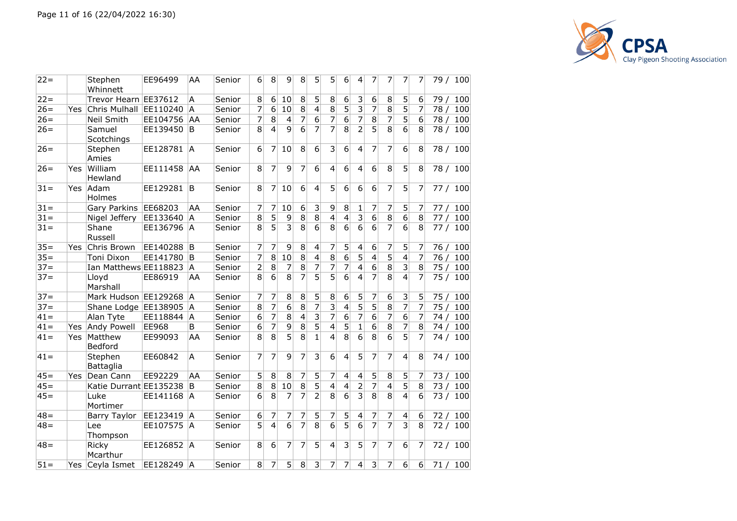

| $22 =$ |     | Stephen<br>Whinnett     | EE96499     | AA           | Senior | 6              | 8              | 9              | 8                | 5               | 5                       | 6                       | 4                        | 7              | 7              | 7              | 7               | 79 / 100    |
|--------|-----|-------------------------|-------------|--------------|--------|----------------|----------------|----------------|------------------|-----------------|-------------------------|-------------------------|--------------------------|----------------|----------------|----------------|-----------------|-------------|
| $22 =$ |     | Trevor Hearn EE37612    |             | A            | Senior | 8              | 6              | 10             | 8                | 5               | 8                       | 6                       | 3                        | 6              | 8              | 5              | 6               | 79 /<br>100 |
| $26=$  | Yes | Chris Mulhall           | EE110240    | <sup>A</sup> | Senior | 7              | 6              | 10             | $\overline{8}$   | $\overline{4}$  | $\overline{8}$          | $\overline{5}$          | 3                        | $\overline{7}$ | $\overline{8}$ | $\overline{5}$ | 7               | 78 /<br>100 |
| $26=$  |     | Neil Smith              | EE104756 AA |              | Senior | 7              | 8              | $\overline{4}$ | $\overline{7}$   | $\overline{6}$  | $\overline{7}$          | $\overline{6}$          | 7                        | $\overline{8}$ | 7              | 5              | $6\overline{6}$ | 78/<br>100  |
| $26=$  |     | Samuel                  | EE139450 B  |              | Senior | 8              | $\vert$        | $\mathbf{q}$   | 6                | 7               | 7                       | $\overline{8}$          | $\overline{2}$           | $\overline{5}$ | 8              | 6              | 8               | 100<br>78/  |
|        |     | Scotchings              |             |              |        |                |                |                |                  |                 |                         |                         |                          |                |                |                |                 |             |
| $26=$  |     | Stephen<br>Amies        | EE128781    | ÌА.          | Senior | 6              | 7              | 10             | 8                | $6\overline{6}$ | $\overline{3}$          | 6                       | $\overline{4}$           | 7              | 7              | 6              | 8               | 78 / 100    |
| $26=$  | Yes | William<br>Hewland      | EE111458    | AA           | Senior | 8              | 7              | 9              | 7                | 6               | 4                       | 6                       | 4                        | 6              | 8              | 5              | 8               | 78 / 100    |
| $31 =$ | Yes | Adam<br>Holmes          | EE129281    | B            | Senior | 8              | 7              | 10             | 6                | $\overline{4}$  | 5                       | 6                       | 6                        | 6              | 7              | 5              | 7               | 77/<br>100  |
| $31 =$ |     | Gary Parkins            | EE68203     | AA           | Senior | 7              | 7              | 10             | $\boldsymbol{6}$ | 3               | 9                       | 8                       | $\mathbf{1}$             | 7              | $\overline{7}$ | 5              | 7               | 77/<br>100  |
| $31 =$ |     | Nigel Jeffery           | EE133640 A  |              | Senior | 8              | 5              | 9              | 8                | 8               | $\overline{4}$          | 4                       | $\overline{3}$           | $\overline{6}$ | 8              | 6              | 8               | 77/<br>100  |
| $31 =$ |     | Shane<br>Russell        | EE136796 A  |              | Senior | $\overline{8}$ | $\overline{5}$ | 3              | $\overline{8}$   | $\overline{6}$  | $\overline{8}$          | $\overline{6}$          | $\overline{6}$           | $\overline{6}$ | $\overline{7}$ | 6              | 8               | 100<br>77/  |
| $35 =$ | Yes | Chris Brown             | EE140288 B  |              | Senior | 7              | 7              | 9              | 8                | 4               | 7                       | 5                       | 4                        | 6              | 7              | 5              | 7               | 100<br>76/  |
| $35=$  |     | Toni Dixon              | EE141780 B  |              | Senior | 7              | 8              | 10             | 8                | $\overline{4}$  | $\overline{8}$          | 6                       | 5                        | 4              | 5              | 4              | 7               | 76/<br>100  |
| $37 =$ |     | Ian Matthews EE118823 A |             |              | Senior | $\overline{2}$ | 8              | 7              | 8                | 7               | 7                       | 7                       | $\overline{4}$           | 6              | 8              | $\overline{3}$ | 8               | 75/<br>100  |
| $37 =$ |     | Lloyd<br>Marshall       | EE86919     | AA           | Senior | 8              | 6              | 8              | 7                | $\overline{5}$  | $\overline{5}$          | $\overline{6}$          | 4                        | $\overline{7}$ | $\overline{8}$ | 4              | 7               | 75/<br>100  |
| $37 =$ |     | Mark Hudson EE129268 A  |             |              | Senior | 7              | 7              | 8              | 8                | 5               | $\,8\,$                 | 6                       | 5                        | 7              | 6              | 3              | 5               | 75/<br>100  |
| $37 =$ |     | Shane Lodge EE138905    |             | A            | Senior | 8              | $\overline{7}$ | 6              | 8                | $\overline{7}$  | $\overline{\mathbf{3}}$ | 4                       | 5                        | $\overline{5}$ | 8              | $\overline{7}$ | $\overline{7}$  | 75/<br>100  |
| $ 41=$ |     | Alan Tyte               | EE118844 A  |              | Senior | 6              | $\overline{7}$ | 8              | 4                | $\overline{3}$  | $\overline{7}$          | 6                       | 7                        | $\overline{6}$ | 7              | $\overline{6}$ | $\overline{7}$  | 100<br>74/  |
| $ 41=$ | Yes | Andy Powell             | EE968       | B            | Senior | 6              | $\overline{7}$ | 9              | 8                | 5               | $\overline{4}$          | 5                       | $\mathbf{1}$             | 6              | 8              | 7              | 8               | 100<br>74/  |
| $ 41=$ | Yes | Matthew<br>Bedford      | EE99093     | AA           | Senior | 8              | 8              | 5              | 8                | $\mathbf{1}$    | $\overline{4}$          | $\overline{8}$          | 6                        | 8              | 6              | $\overline{5}$ | 7               | 100<br>74 / |
| $41 =$ |     | Stephen<br>Battaglia    | EE60842     | A            | Senior | 7              | 7              | 9              | 7                | 3               | 6                       | $\overline{4}$          | 5                        | 7              | 7              | 4              | 8               | 74 / 100    |
| $45 =$ | Yes | Dean Cann               | EE92229     | AA           | Senior | 5              | 8              | 8              | 7                | 5               | $\overline{7}$          | $\overline{\mathbf{4}}$ | $\overline{\mathcal{L}}$ | 5              | 8              | 5              | 7               | 100<br>73/  |
| $45 =$ |     | Katie Durrant EE135238  |             | B            | Senior | 8              | 8              | 10             | 8                | $\overline{5}$  | $\overline{4}$          | $\overline{\mathbf{4}}$ | $\overline{2}$           | $\overline{7}$ | $\overline{4}$ | $\overline{5}$ | 8               | 73/<br>100  |
| $45 =$ |     | Luke<br>Mortimer        | EE141168 A  |              | Senior | 6              | 8              | $\overline{7}$ | 7                | $\overline{2}$  | 8                       | $\overline{6}$          | $\overline{3}$           | $\overline{8}$ | 8              | $\overline{4}$ | 6               | 100<br>73/  |
| $48 =$ |     | Barry Taylor            | EE123419    | A            | Senior | 6              | 7              | 7              | 7                | 5               | 7                       | 5                       | 4                        | 7              | 7              | 4              | 6               | 72/<br>100  |
| $48 =$ |     | Lee<br>Thompson         | EE107575 A  |              | Senior | 5              | $\overline{4}$ | 6              | 7                | 8               | 6                       | $\overline{5}$          | 6                        | $\overline{7}$ | 7              | 3              | 8               | 72 / 100    |
| $ 48=$ |     | Ricky<br>Mcarthur       | EE126852 A  |              | Senior | 8              | 6              | 7              | 7                | 5               | $\overline{4}$          | $\overline{3}$          | 5                        | 7              | 7              | 6              | 7               | 72/<br>100  |
| $51 =$ | Yes | Ceyla Ismet             | EE128249 A  |              | Senior | 8              | 7              | 5              | $\,8\,$          | 3               | 7                       | $\overline{7}$          | $\overline{4}$           | $\overline{3}$ | 7              | 6              | 6 <sup>1</sup>  | 71 / 100    |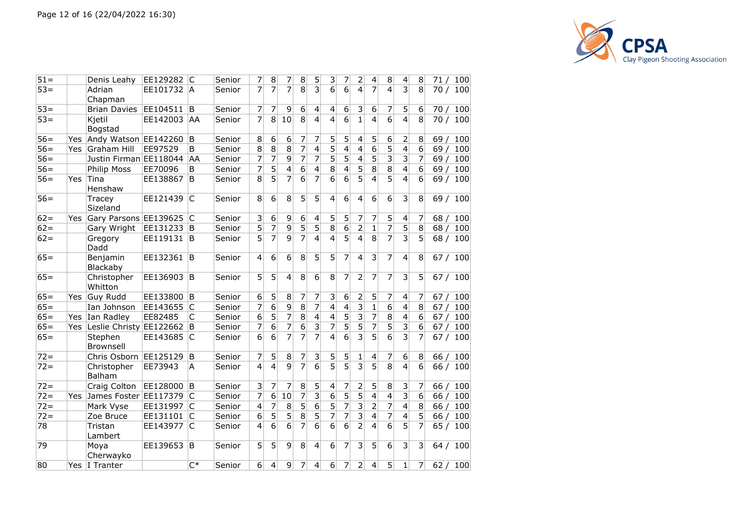

| 51=    |            | Denis Leahy            | EE129282   | C     | Senior | 7              | 8                | 7              | 8              | 5                       | 3               | 7              | 2                       | 4              | 8                       | 4              | 8               | 71 /<br>100 |
|--------|------------|------------------------|------------|-------|--------|----------------|------------------|----------------|----------------|-------------------------|-----------------|----------------|-------------------------|----------------|-------------------------|----------------|-----------------|-------------|
| $53 =$ |            | Adrian<br>Chapman      | EE101732 A |       | Senior | 7              | $\overline{7}$   | 7              | 8              | $\overline{\mathbf{3}}$ | 6               | $\overline{6}$ | 4                       | 7              | 4                       | 3              | 8               | 70/<br>100  |
| $53 =$ |            | <b>Brian Davies</b>    | EE104511   | B     | Senior | 7              | $\overline{7}$   | 9              | 6              | $\overline{4}$          | $\vert 4 \vert$ | 6              | 3                       | 6              | 7                       | 5              | 6               | 70/<br>100  |
| $53 =$ |            | Kjetil<br>Bogstad      | EE142003   | AA    | Senior | $\overline{7}$ | 8 <sup>°</sup>   | 10             | 8              | $\overline{4}$          | $\overline{4}$  | $\overline{6}$ | 1                       | $\overline{4}$ | 6                       | $\overline{4}$ | 8               | 70/<br>100  |
| $56 =$ | Yes        | Andy Watson EE142260 B |            |       | Senior | 8              | $\boldsymbol{6}$ | 6              | 7              | 7                       | 5               | 5              | 4                       | 5              | 6                       | $\overline{2}$ | 8               | 69/<br>100  |
| $56=$  | <b>Yes</b> | Graham Hill            | EE97529    | B     | Senior | 8              | $\bf 8$          | 8              | $\overline{7}$ | $\overline{4}$          | 5               | 4              | 4                       | 6              | 5                       | 4              | 6               | 69/<br>100  |
| $56=$  |            | Justin Firman EE118044 |            | AA    | Senior | 7              | 7                | 9              | 7              | 7                       | 5               | 5              | 4                       | 5              | 3                       | 3              | 7               | 100<br>69/  |
| $56=$  |            | Philip Moss            | EE70096    | B     | Senior | 7              | 5                | $\overline{4}$ | 6              | $\overline{4}$          | 8               | $\overline{4}$ | $\overline{5}$          | $\overline{8}$ | $\overline{8}$          | 4              | $6\overline{6}$ | 100<br>69/  |
| $56 =$ | Yes        | Tina<br>Henshaw        | EE138867   | B     | Senior | 8              | 5                | $\overline{7}$ | 6              | $\overline{7}$          | 6               | $\overline{6}$ | 5                       | 4              | $\overline{5}$          | $\overline{4}$ | 6               | 100<br>69 / |
| $56=$  |            | Tracey<br>Sizeland     | EE121439   | C     | Senior | 8              | 6                | 8              | 5              | 5                       | 4               | 6              | 4                       | 6              | 6                       | 3              | 8               | 69/<br>100  |
| $62 =$ | Yes.       | Gary Parsons EE139625  |            | IС    | Senior | 3              | $6 \mid$         | 9              | 6              | $\overline{4}$          | 5               | 5              | 7                       | 7              | 5                       | $\overline{4}$ | 7               | 100<br>68/  |
| $62 =$ |            | Gary Wright            | EE131233 B |       | Senior | 5              | $\overline{7}$   | 9              | 5              | 5                       | 8               | 6              | $\overline{2}$          | $\mathbf{1}$   | 7                       | 5              | 8               | 68/<br>100  |
| $62 =$ |            | Gregory<br>Dadd        | EE119131 B |       | Senior | 5              | 7                | 9              | 7              | $\overline{4}$          | 4               | 5              | 4                       | 8              | 7                       | 3              | 5               | 68/<br>100  |
| $65 =$ |            | Benjamin<br>Blackaby   | EE132361   | B     | Senior | $\overline{4}$ | 6                | 6              | 8              | 5                       | 5               | 7              | 4                       | 3              | 7                       | $\overline{4}$ | 8               | 67/<br>100  |
| $65 =$ |            | Christopher<br>Whitton | EE136903   | B     | Senior | 5              | 5 <sup>1</sup>   | $\overline{4}$ | 8              | 6                       | 8               | 7              | $\overline{2}$          | 7              | 7                       | 3              | 5               | 100<br>67/  |
| $65 =$ | Yes.       | Guy Rudd               | EE133800 B |       | Senior | 6              | 5 <sup>1</sup>   | 8              | 7              | 7                       | $\overline{3}$  | 6              | $\overline{c}$          | 5              | 7                       | 4              | 7               | 67/<br>100  |
| $65 =$ |            | Ian Johnson            | EE143655 C |       | Senior | 7              | 6                | 9              | $\overline{8}$ | 7                       | $\vert 4 \vert$ | $\overline{4}$ | 3                       | $\mathbf{1}$   | 6                       | $\overline{4}$ | 8               | 67/<br>100  |
| $65 =$ |            | Yes Ian Radley         | EE82485    | C     | Senior | 6              | 5 <sup>1</sup>   | 7              | 8              | $\overline{4}$          | 4               | 5              | 3                       | 7              | 8                       | $\overline{4}$ | 6               | 67/<br>100  |
| $65=$  | Yes        | Leslie Christy         | EE122662 B |       | Senior | 7              | 6                | $\overline{7}$ | 6              | $\overline{\mathbf{3}}$ | 7               | $\overline{5}$ | 5                       | $\overline{7}$ | 5                       | 3              | 6               | 100<br>67/  |
| $65 =$ |            | Stephen<br>Brownsell   | EE143685   | C     | Senior | $\overline{6}$ | 6                | $\overline{7}$ | 7              | 7                       | 4               | 6              | 3                       | 5              | 6                       | $\overline{3}$ | 7               | 67 / 100    |
| $72 =$ |            | Chris Osborn           | EE125129   | B     | Senior | 7              | 5 <sup>1</sup>   | 8              | 7              | 3                       | 5               | 5              | $\mathbf{1}$            | $\overline{4}$ | 7                       | 6              | 8               | 100<br>66/  |
| $72 =$ |            | Christopher<br>Balham  | EE73943    | А     | Senior | $\overline{4}$ | $\vert$          | $\overline{9}$ | $\overline{7}$ | $\overline{6}$          | 5               | $\overline{5}$ | $\overline{\mathbf{3}}$ | 5              | 8                       | $\overline{4}$ | 6               | 66/<br>100  |
| $72 =$ |            | Craig Colton           | EE128000 B |       | Senior | 3              | $\overline{7}$   | 7              | 8              | 5                       | $\vert 4 \vert$ | 7              | $\overline{c}$          | 5              | 8                       | 3              | 7               | 66/<br>100  |
| $72 =$ | Yes        | James Foster           | EE117379 C |       | Senior | 7              | 6                | 10             | 7              | $\overline{3}$          | 6               | $\overline{5}$ | 5                       | $\overline{4}$ | $\overline{\mathbf{4}}$ | 3              | 6               | 66/<br>100  |
| $72 =$ |            | Mark Vyse              | EE131997 C |       | Senior | 4              | 7                | 8              | 5              | $\overline{6}$          | 5               | $\overline{7}$ | $\overline{\mathbf{3}}$ | $\overline{2}$ | 7                       | 4              | 8               | 66/<br>100  |
| $72 =$ |            | Zoe Bruce              | EE131101   | C     | Senior | 6              | 5                | 5              | 8              | 5                       | 7               | 7              | 3                       | 4              | 7                       | $\mathbf{A}$   | 5               | 66/<br>100  |
| 78     |            | Tristan<br>Lambert     | EE143977   | C     | Senior | $\overline{4}$ | 6                | 6              | 7              | 6                       | 6               | 6              | $\overline{2}$          | $\overline{4}$ | 6                       | 5              | 7               | 65/<br>100  |
| 79     |            | Moya<br>Cherwayko      | EE139653   | B     | Senior | 5              | 5                | 9              | 8              | $\overline{4}$          | 6               | 7              | 3                       | 5              | 6                       | 3              | 3               | 64/<br>100  |
| 80     |            | Yes I Tranter          |            | $C^*$ | Senior | $\overline{6}$ | $\vert 4 \vert$  | 9              | 7              | $\overline{4}$          | 6               | 7              | $\overline{2}$          | $\overline{4}$ | 5                       | $\mathbf 1$    | 7               | 62/<br>100  |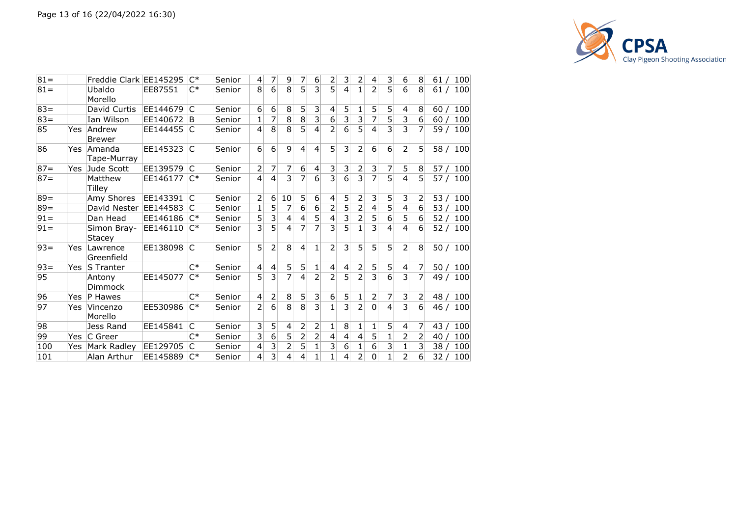

| $81 =$ |     | Freddie Clark EE145295       |          | C*             | Senior | 4                       |                | 9              | 7              | 6              | 2 | 3              | 2              | $\left 4\right $ | $\lvert 3 \rvert$ | 6              | 8              | 61/<br>100 |
|--------|-----|------------------------------|----------|----------------|--------|-------------------------|----------------|----------------|----------------|----------------|---|----------------|----------------|------------------|-------------------|----------------|----------------|------------|
| $81 =$ |     | Ubaldo<br>Morello            | EE87551  | $C^*$          | Senior | 8                       | 6              | $\overline{8}$ | 5              | $\overline{3}$ | 5 | 4              | 1              | $\overline{2}$   | 5 <sup>1</sup>    | 6              | 8              | 61/<br>100 |
| $83 =$ |     | David Curtis                 | EE144679 | C              | Senior | 6                       | 6              | 8              | 5              | 3              | 4 | 5              | 1              | 5                | 5                 | 4              | 8              | 60/<br>100 |
| $83 =$ |     | Ian Wilson                   | EE140672 | ΙB             | Senior | 1                       |                | 8              | 8              | 3              | 6 | 3              | 3              | 7                | 5                 | 3              | 6              | 100<br>60/ |
| 85     | Yes | Andrew<br><b>Brewer</b>      | EE144455 | ΙC             | Senior | 4                       | 8              | 8              | 5              | 4              | 2 | 6              | 5              | $\overline{4}$   | 3                 | 3              | 7              | 59/<br>100 |
| 86     | Yes | Amanda<br>Tape-Murray        | EE145323 | IC.            | Senior | 6                       | 6              | 9              | 4              | $\overline{4}$ | 5 | 3              | 2              | $6 \mid$         | 6                 | $\overline{2}$ | 5              | 58 / 100   |
| $87 =$ | Yes | Jude Scott                   | EE139579 | lC.            | Senior | 2                       | 7              | 7              | 6              | 4              | 3 | 3              | 2              | 3                | 7                 | 5              | 8              | 100<br>57/ |
| $87 =$ |     | Matthew<br>Tilley            | EE146177 | $\mathsf{C}^*$ | Senior | 4                       | $\overline{4}$ | 3              | 7              | $\overline{6}$ | 3 | $\overline{6}$ | $\overline{3}$ | $\overline{7}$   | 5                 | 4              | 5              | 57/<br>100 |
| $89 =$ |     | Amy Shores                   | EE143391 | C              | Senior | $\overline{2}$          | 6              | 10             | 5              | 6              | 4 | 5              | 2              | 3 <sup>2</sup>   | 5                 | 3              | 2              | 53/<br>100 |
| $89 =$ |     | David Nester                 | EE144583 | IC             | Senior | 1                       | 5              | 7              | 6              | 6              | 2 | 5              | 2              | 4                | 5                 | 4              | 6              | 53/<br>100 |
| $91 =$ |     | Dan Head                     | EE146186 | $C^*$          | Senior | 5                       | 3              | 4              | 4              | 5              | 4 | 3              | 2              | 5                | 6                 | 5              | 6              | 100<br>52/ |
| $91 =$ |     | Simon Bray-<br><b>Stacey</b> | EE146110 | $C^*$          | Senior | $\overline{\mathbf{3}}$ | 5              | 4              | 7              | $\overline{7}$ | 3 | $\overline{5}$ | 1              | $\overline{3}$   | $\overline{4}$    | 4              | 6              | 52/<br>100 |
| $93 =$ | Yes | Lawrence<br>Greenfield       | EE138098 | C              | Senior | 5                       | 2              | 8              | $\overline{4}$ | 1              | 2 | 3              | 5              | 5 <sup>1</sup>   | 5                 | $\overline{2}$ | 8              | 50/<br>100 |
| $93 =$ | Yes | S Tranter                    |          | $C^*$          | Senior | 4                       | 4              | 5              | 5              | 1              | 4 | 4              | $\overline{2}$ | 5                | 5 <sup>1</sup>    | 4              | 7              | 50/<br>100 |
| 95     |     | Antony<br>Dimmock            | EE145077 | $C^*$          | Senior | 5                       | 3              | $\overline{7}$ | 4              | 2              | 2 | 5              | 2              | $\overline{3}$   | 6                 | 3              | $\overline{7}$ | 49/<br>100 |
| 96     | Yes | P Hawes                      |          | $C^*$          | Senior | 4                       | 2              | 8              | 5              | 3              | 6 | 5              | 1              | 2                | 7                 | 3              | 2              | 48/<br>100 |
| 97     | Yes | Vincenzo<br>Morello          | EE530986 | $C^*$          | Senior | $\overline{2}$          | 6              | 8              | 8              | 3              | 1 | 3              | 2              | $\Omega$         | $\overline{4}$    | $\overline{3}$ | $6 \mid$       | 46/<br>100 |
| 98     |     | Jess Rand                    | EE145841 | C              | Senior | 3                       | 5              | 4              | 2              | 2              | 1 | 8              | 1              | 1                | 5                 | 4              | 7              | 43/<br>100 |
| 99     | Yes | C Greer                      |          | C*             | Senior | 3                       | 6              | 5              | 2              | 2              | 4 | 4              | 4              | 5                | 1                 | 2              | 2              | 100<br>40  |
| 100    | Yes | Mark Radley                  | EE129705 | С              | Senior | 4                       | 3              | 2              | 5              | 1              | 3 | 6              | 1              | $6 \overline{6}$ | 3                 | 1              | 3              | 38/<br>100 |
| 101    |     | Alan Arthur                  | EE145889 | $C^*$          | Senior | 4                       | 3              | 4              | 4              | 1              | 1 | 4              | 2              | $\overline{0}$   | 1                 | $\overline{2}$ | 6              | 32/<br>100 |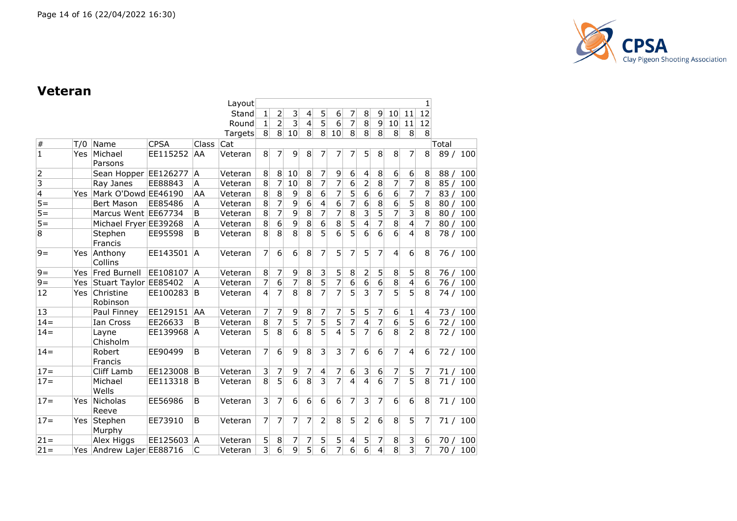

#### **Veteran**

|                |            |                       |             |       | Layout  |                |                |                         |                |                         |                |                          |                         |                |                  |                         | 1              |                 |          |
|----------------|------------|-----------------------|-------------|-------|---------|----------------|----------------|-------------------------|----------------|-------------------------|----------------|--------------------------|-------------------------|----------------|------------------|-------------------------|----------------|-----------------|----------|
|                |            |                       |             |       | Stand   | 1              | 2              | 3                       | 4              | 5 <sup>2</sup>          | 6              | 7                        | 8                       | $\overline{9}$ | 10 <sup>1</sup>  | 11                      | 12             |                 |          |
|                |            |                       |             |       | Round   | 1              | $\overline{2}$ | $\overline{\mathbf{3}}$ | $\overline{4}$ | $\overline{5}$          | 6              | 7                        | $\overline{8}$          | 9              | 10 <sup>1</sup>  | 11                      | 12             |                 |          |
|                |            |                       |             |       | Targets | 8 <sup>1</sup> | 8 <sup>1</sup> | 10                      | 8              | 8 <sup>1</sup>          | 10             | 8 <sup>1</sup>           | 8 <sup>1</sup>          | 8 <sup>1</sup> | 8                | 8 <sup>1</sup>          | 8              |                 |          |
| $\#$           | T/0        | Name                  | <b>CPSA</b> | Class | Cat     |                |                |                         |                |                         |                |                          |                         |                |                  |                         |                | Total           |          |
| $\overline{1}$ | Yes        | Michael<br>Parsons    | EE115252    | AA    | Veteran | 8 <sup>1</sup> | 7              | 9                       | 8              | 7                       | 7              | 7                        | 5                       | 8              | 8 <sup>°</sup>   | 7                       | 8              | 89/             | 100      |
| 2              |            | Sean Hopper EE126277  |             | A     | Veteran | 8              | $\,8\,$        | 10                      | 8              | 7                       | 9              | 6                        | 4                       | 8              | 6                | 6                       | 8              | 88 <sub>l</sub> | 100      |
| $\overline{3}$ |            | Ray Janes             | EE88843     | А     | Veteran | $\bf 8$        | 7              | 10                      | $\overline{8}$ | $\overline{7}$          | 7              | $\overline{6}$           | $\overline{2}$          | $\bf 8$        | 7                | 7                       | $\overline{8}$ | 85/             | 100      |
| $\vert 4$      | Yes        | Mark O'Dowd EE46190   |             | AA    | Veteran | 8              | $\overline{8}$ | 9                       | 8              | $6 \mid$                | $\overline{7}$ | 5                        | 6                       | 6              | $\overline{6}$   | 7                       | 7              | 83/             | 100      |
| $\overline{5}$ |            | <b>Bert Mason</b>     | EE85486     | A     | Veteran | 8              | $\overline{7}$ | $\overline{9}$          | 6              | $\vert 4 \vert$         | 6              | $\overline{7}$           | 6                       | 8              | $\overline{6}$   | $\overline{5}$          | 8              | 80/             | 100      |
| $\overline{5}$ |            | Marcus Went EE67734   |             | B     | Veteran | 8              | $\overline{7}$ | 9                       | 8              | 7                       | $\overline{7}$ | 8                        | 3                       | 5              | 7                | $\overline{\mathbf{3}}$ | 8              | 80/             | 100      |
| $5=$           |            | Michael Fryer EE39268 |             | Α     | Veteran | 8              | $\overline{6}$ | 9                       | $\overline{8}$ | $\overline{6}$          | $\overline{8}$ | 5                        | 4                       | 7              | $\bf 8$          | $\overline{4}$          | $\overline{7}$ | 80/             | 100      |
| $\overline{8}$ |            | Stephen<br>Francis    | EE95598     | B     | Veteran | $\overline{8}$ | $\overline{8}$ | $\overline{8}$          | $\overline{8}$ | $\overline{5}$          | $\overline{6}$ | 5                        | $\overline{6}$          | 6              | $\overline{6}$   | 4                       | 8              | 78 /            | 100      |
| $9 =$          | Yes        | Anthony<br>Collins    | EE143501    | A     | Veteran | 7              | 6              | 6                       | 8              | 7                       | 5              | 7                        | 5                       | 7              | 4                | 6                       | 8              | 76 /            | 100      |
| $9=$           | <b>Yes</b> | Fred Burnell          | EE108107    | A     | Veteran | 8              | 7              | 9                       | 8              | $\overline{\mathbf{3}}$ | 5              | 8                        | 2                       | 5              | 8                | 5                       | 8              | 76/             | 100      |
| $9 =$          | Yes        | Stuart Taylor EE85402 |             | A     | Veteran | $\overline{7}$ | $\overline{6}$ | $\overline{7}$          | 8              | $\overline{5}$          | $\overline{7}$ | $\overline{6}$           | $\overline{6}$          | 6              | $\overline{8}$   | $\overline{\mathbf{4}}$ | 6              | 76/             | 100      |
| 12             | Yes        | Christine<br>Robinson | EE100283    | B     | Veteran | $\overline{4}$ | 7              | $\overline{8}$          | $\overline{8}$ | 7                       |                | $\overline{5}$           | $\overline{\mathbf{3}}$ | $\overline{7}$ | $\overline{5}$   | $\overline{5}$          | $\overline{8}$ | 74/             | 100      |
| 13             |            | Paul Finney           | EE129151    | AA    | Veteran | 7              | 7              | 9                       | 8              | $\overline{7}$          | 7              | 5                        | 5                       | 7              | $6 \overline{6}$ | 1                       | 4              | 73/             | 100      |
| $14 =$         |            | Ian Cross             | EE26633     | B     | Veteran | 8              | $\overline{7}$ | $\overline{5}$          | $\overline{7}$ | $\overline{5}$          | $\overline{5}$ | $\overline{7}$           | $\overline{4}$          | $\overline{7}$ | $\overline{6}$   | $\overline{5}$          | 6              | 72/             | 100      |
| $14 =$         |            | Layne<br>Chisholm     | EE139968    | A     | Veteran | $\overline{5}$ | $\overline{8}$ | $\overline{6}$          | $\overline{8}$ | $\overline{5}$          | $\overline{4}$ | 5                        | $\overline{7}$          | 6              | $\overline{8}$   | $\overline{2}$          | 8              |                 | 72 / 100 |
| $14=$          |            | Robert<br>Francis     | EE90499     | B     | Veteran | 7              | 6              | 9                       | 8              | $\overline{3}$          | 3              | 7                        | 6                       | 6              | 7                | 4                       | 6              |                 | 72 / 100 |
| $17 =$         |            | Cliff Lamb            | EE123008    | B     | Veteran | $\overline{3}$ | 7              | 9                       | 7              | $\overline{4}$          | 7              | 6                        | 3                       | 6              | 7                | 5                       | 7              | 71/             | 100      |
| $17 =$         |            | Michael<br>Wells      | EE113318    | B     | Veteran | $\overline{8}$ | $\overline{5}$ | $\overline{6}$          | $\overline{8}$ | $\overline{3}$          | 7              | $\overline{4}$           | $\overline{4}$          | 6              | $\overline{7}$   | $\overline{5}$          | 8              | 71/             | 100      |
| $17 =$         | Yes        | Nicholas<br>Reeve     | EE56986     | B     | Veteran | 3              | 7              | 6                       | 6              | $6 \overline{6}$        | 6              | 7                        | 3                       | 7              | $6 \overline{6}$ | 6                       | 8              | 71/             | 100      |
| $17 =$         | Yes        | Stephen<br>Murphy     | EE73910     | B     | Veteran | 7              | $\overline{7}$ | 7                       | 7              | $\overline{2}$          | 8              | 5                        | $\overline{2}$          | 6              | 8                | 5                       | 7              | 71/             | 100      |
| $21 =$         |            | Alex Higgs            | EE125603    | A     | Veteran | 5              | 8              | 7                       | 7              | 5 <sup>1</sup>          | 5              | $\overline{\mathcal{L}}$ | 5                       | 7              | $\bf 8$          | 3                       | 6              | 70/             | 100      |
| $21 =$         | Yes        | Andrew Lajer EE88716  |             | C     | Veteran | $\overline{3}$ | $\overline{6}$ | $\overline{9}$          | $\overline{5}$ | $\overline{6}$          | $\overline{7}$ | $\overline{6}$           | $\overline{6}$          | $\overline{4}$ | $\overline{8}$   | $\overline{3}$          | 7              | 70/             | 100      |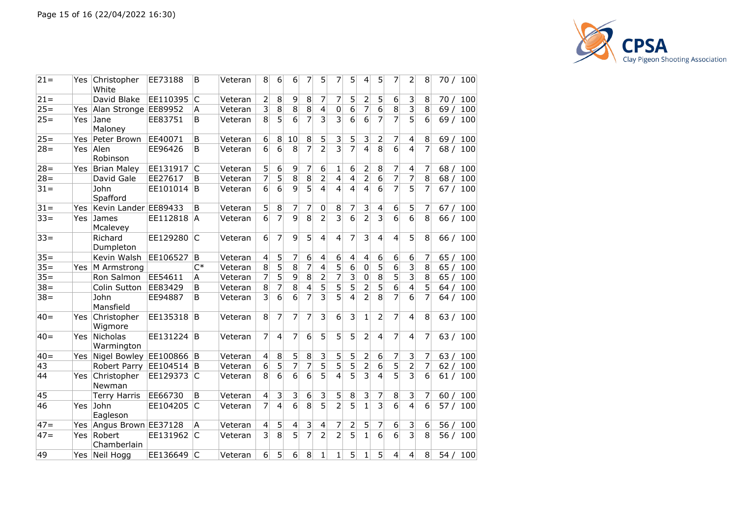

| $21 =$ | Yes  | Christopher<br>White   | EE73188  | B            | Veteran | 8                       | 6              | 6                       | 7              | 5              | 7                         | 5              | 4                       | 5                         | 7              | 2                        | 8              | 70 / 100   |
|--------|------|------------------------|----------|--------------|---------|-------------------------|----------------|-------------------------|----------------|----------------|---------------------------|----------------|-------------------------|---------------------------|----------------|--------------------------|----------------|------------|
| $21 =$ |      | David Blake            | EE110395 | $\mathsf{C}$ | Veteran | 2                       | 8              | 9                       | 8              | 7              | 7                         | 5              | $\overline{2}$          | 5                         | 6              | 3                        | 8              | 70/<br>100 |
| $25 =$ | Yes  | Alan Stronge EE89952   |          | Α            | Veteran | 3                       | $\bf8$         | $\bf 8$                 | $\bf 8$        | 4              | 0                         | 6              | 7                       | $\overline{6}$            | 8              | $\overline{\mathbf{3}}$  | 8              | 69/<br>100 |
| $25 =$ | Yes  | Jane<br>Maloney        | EE83751  | B            | Veteran | 8                       | $\overline{5}$ | 6                       | $\overline{7}$ | 3              | $\overline{\mathbf{3}}$   | 6              | 6                       | $\overline{7}$            | 7              | 5                        | $\overline{6}$ | 69/<br>100 |
| $25 =$ | Yes  | Peter Brown            | EE40071  | B            | Veteran | $\boldsymbol{6}$        | $\,8\,$        | 10                      | 8              | 5              | 3                         | 5              | 3                       | 2                         | 7              | 4                        | 8              | 69/<br>100 |
| $28 =$ | Yes  | Alen<br>Robinson       | EE96426  | B            | Veteran | $6\overline{6}$         | $\overline{6}$ | 8                       | $\overline{7}$ | $\overline{2}$ | $\overline{\overline{3}}$ | $\overline{7}$ | $\overline{\mathbf{A}}$ | 8                         | 6              | $\overline{4}$           | $\overline{7}$ | 68/<br>100 |
| $28=$  | Yes  | Brian Maley            | EE131917 | C            | Veteran | 5                       | 6              | 9                       | 7              | 6              | $\mathbf{1}$              | 6              | $\overline{2}$          | 8                         | 7              | $\overline{4}$           | 7              | 100<br>68/ |
| $28 =$ |      | David Gale             | EE27617  | B            | Veteran | 7                       | $\overline{5}$ | $\overline{8}$          | $8\,$          | $\overline{2}$ | 4                         | 4              | $\overline{2}$          | $\overline{6}$            | $\overline{7}$ | $\overline{7}$           | 8              | 68/<br>100 |
| $31 =$ |      | John<br>Spafford       | EE101014 | ΙB           | Veteran | $6 \overline{6}$        | 6              | $\overline{9}$          | $\overline{5}$ | 4              | $\overline{4}$            | 4              | $\overline{4}$          | 6                         | 7              | $\overline{5}$           | 7              | 100<br>67/ |
| $31 =$ | Yes  | Kevin Lander EE89433   |          | B            | Veteran | 5                       | 8              | 7                       | 7              | 0              | 8                         | 7              | 3                       | 4                         | 6              | 5                        | 7              | 67/<br>100 |
| $33 =$ | Yes  | James<br>Mcalevey      | EE112818 | A            | Veteran | 6                       | 7              | $\overline{9}$          | 8              | $\overline{2}$ | $\overline{3}$            | 6              | $\overline{2}$          | 3                         | 6              | 6                        | 8              | 66/<br>100 |
| $33 =$ |      | Richard<br>Dumpleton   | EE129280 | IC           | Veteran | 6                       | $\overline{7}$ | 9                       | 5              | $\overline{4}$ | $\overline{4}$            | 7              | 3                       | $\overline{4}$            | 4              | 5                        | 8              | 66 / 100   |
| $35 =$ |      | Kevin Walsh            | EE106527 | B            | Veteran | $\overline{4}$          | 5              | 7                       | 6              | 4              | 6                         | 4              | 4                       | 6                         | 6              | 6                        | 7              | 65/<br>100 |
| $35 =$ | Yes  | M Armstrong            |          | $C^*$        | Veteran | 8                       | 5              | $\overline{8}$          | 7              | 4              | 5                         | 6              | 0                       | $\overline{5}$            | 6              | $\overline{3}$           | 8              | 65/<br>100 |
| $35 =$ |      | Ron Salmon             | EE54611  | А            | Veteran | 7                       | 5              | 9                       | 8              | $\overline{2}$ | 7                         | 3              | 0                       | 8                         | 5              | $\overline{\mathbf{3}}$  | 8              | 100<br>65/ |
| $38 =$ |      | Colin Sutton           | EE83429  | B            | Veteran | 8                       | 7              | 8                       | 4              | 5              | $\overline{5}$            | 5              | $\overline{2}$          | $\overline{5}$            | 6              | $\overline{\mathcal{L}}$ | $\overline{5}$ | 100<br>64/ |
| $38 =$ |      | John<br>Mansfield      | EE94887  | B            | Veteran | 3                       | $\overline{6}$ | 6                       | $\overline{7}$ | 3              | $\overline{5}$            | 4              | $\overline{2}$          | 8                         | 7              | 6                        | 7              | 100<br>64/ |
| $40=$  | Yes  | Christopher<br>Wigmore | EE135318 | ΙB           | Veteran | 8                       | 7              | 7                       | 7              | 3              | 6                         | 3              | $\mathbf{1}$            | $\overline{2}$            | 7              | $\overline{4}$           | 8              | 63/<br>100 |
| $40=$  | Yes  | Nicholas<br>Warmington | EE131224 | B            | Veteran | 7                       | $\overline{4}$ | 7                       | 6              | 5              | 5                         | 5              | $\overline{2}$          | $\overline{4}$            | 7              | $\overline{4}$           | 7              | 63/<br>100 |
| $40=$  | Yes  | Nigel Bowley EE100866  |          | <sup>B</sup> | Veteran | $\overline{4}$          | 8              | 5                       | 8              | 3              | 5                         | 5              | 2                       | 6                         | 7              | 3                        | 7              | 63/<br>100 |
| 43     |      | Robert Parry           | EE104514 | ΙB           | Veteran | 6                       | $\overline{5}$ | 7                       | 7              | 5              | $\overline{5}$            | 5              | $\overline{c}$          | 6                         | 5              | 2                        | 7              | 100<br>62/ |
| 44     | Yes  | Christopher<br>Newman  | EE129373 | ΙC           | Veteran | 8                       | 6              | 6                       | $\overline{6}$ | 5              | 4                         | $\overline{5}$ | 3                       | $\overline{4}$            | 5              | 3                        | 6              | 61/<br>100 |
| 45     |      | <b>Terry Harris</b>    | EE66730  | B            | Veteran | 4                       | 3              | 3                       | 6              | 3              | 5                         | 8              | 3                       | 7                         | 8              | 3                        | 7              | 100<br>60/ |
| 46     | Yes  | John<br>Eagleson       | EE104205 | ΙC           | Veteran | 7                       | $\overline{4}$ | $\overline{6}$          | $\overline{8}$ | $\overline{5}$ | $\overline{2}$            | $\overline{5}$ | $\mathbf{1}$            | $\overline{\overline{3}}$ | 6              | $\overline{4}$           | 6              | 57/<br>100 |
| $47 =$ | Yes  | Angus Brown EE37128    |          | A            | Veteran | $\overline{\mathbf{4}}$ | 5              | $\overline{\mathbf{4}}$ | 3              | 4              | 7                         | 2              | 5                       | 7                         | 6              | 3                        | $6\,$          | 56/<br>100 |
| $47 =$ | Yes. | Robert<br>Chamberlain  | EE131962 | IС           | Veteran | $\overline{3}$          | $\overline{8}$ | $\overline{5}$          | $\overline{7}$ | $\overline{2}$ | $\overline{2}$            | $\overline{5}$ | $\mathbf{1}$            | $\overline{6}$            | $\overline{6}$ | 3                        | 8              | 56/<br>100 |
| 49     |      | Yes Neil Hogg          | EE136649 | IC           | Veteran | $6 \overline{6}$        | 5              | 6                       | 8              | $\mathbf{1}$   | $\mathbf{1}$              | 5              | $\mathbf{1}$            | 5                         | $\overline{4}$ | $\overline{4}$           | 8              | 54/<br>100 |